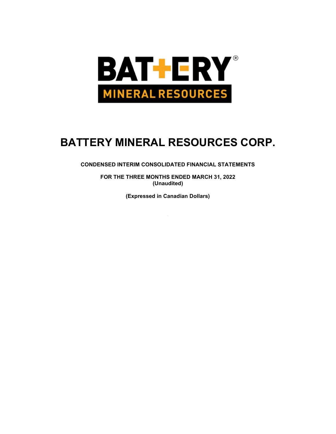

CONDENSED INTERIM CONSOLIDATED FINANCIAL STATEMENTS

FOR THE THREE MONTHS ENDED MARCH 31, 2022 (Unaudited)

(Expressed in Canadian Dollars)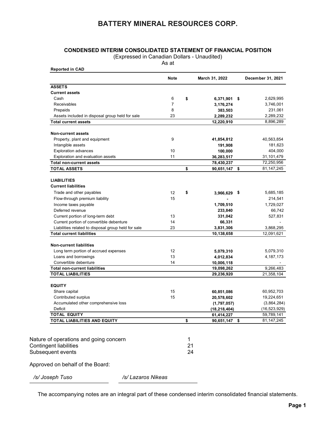# CONDENSED INTERIM CONSOLIDATED STATEMENT OF FINANCIAL POSITION

| <b>CONDENSED INTERIM CONSOLIDATED STATEMENT OF FINANCIAL POSITION</b><br>(Expressed in Canadian Dollars - Unaudited)<br>As at<br><b>Reported in CAD</b><br><b>Note</b><br>March 31, 2022<br><b>ASSETS</b><br><b>Current assets</b><br>Cash<br>6<br>\$<br>6,371,901 \$<br>$\overline{7}$<br>Receivables<br>3,176,274<br>8<br>Prepaids<br>383,503<br>23<br>Assets included in disposal group held for sale<br>2,289,232<br><b>Total current assets</b><br>12,220,910<br><b>Non-current assets</b><br>Property, plant and equipment<br>9<br>41,854,812<br>Intangible assets<br>191,908<br>10<br><b>Exploration advances</b><br>100,000<br>Exploration and evaluation assets<br>11<br>36,283,517<br><b>Total non-current assets</b><br>78,430,237<br>\$<br><b>TOTAL ASSETS</b><br>90,651,147 \$<br><b>LIABILITIES</b><br><b>Current liabilities</b><br>Trade and other payables<br>\$<br>12<br>$3,966,629$ \$<br>15<br>Flow-through premium liability<br>Income taxes payable<br>1,709,510<br>Deferred revenue<br>233,840<br>Current portion of long-term debt<br>13<br>331,042<br>Current portion of convertible debenture<br>14<br>66,331<br>Liabilities related to disposal group held for sale<br>23<br>3,831,306<br><b>Total current liabilities</b><br>10,138,658<br>Non-current liabilities<br>Long term portion of accrued expenses<br>12<br>5,079,310<br>Loans and borrowings<br>13<br>4,012,834<br>Convertible debenture<br>14<br>10,006,118<br><b>Total non-current liabilities</b><br>19,098,262<br><b>TOTAL LIABILITIES</b><br>29,236,920<br><b>EQUITY</b><br>Share capital<br>15<br>60,851,086<br>15<br>Contributed surplus<br>20,578,602<br>Accumulated other comprehensive loss<br>(1,797,057)<br>Deficit<br>(18, 218, 404)<br><b>TOTAL EQUITY</b><br>61,414,227<br>TOTAL LIABILITIES AND EQUITY<br>\$<br>90,651,147 \$<br>Nature of operations and going concern<br>1<br>21<br><b>Contingent liabilities</b><br>24<br>Subsequent events |  |  | <b>BATTERY MINERAL RESOURCES CORP.</b> |
|------------------------------------------------------------------------------------------------------------------------------------------------------------------------------------------------------------------------------------------------------------------------------------------------------------------------------------------------------------------------------------------------------------------------------------------------------------------------------------------------------------------------------------------------------------------------------------------------------------------------------------------------------------------------------------------------------------------------------------------------------------------------------------------------------------------------------------------------------------------------------------------------------------------------------------------------------------------------------------------------------------------------------------------------------------------------------------------------------------------------------------------------------------------------------------------------------------------------------------------------------------------------------------------------------------------------------------------------------------------------------------------------------------------------------------------------------------------------------------------------------------------------------------------------------------------------------------------------------------------------------------------------------------------------------------------------------------------------------------------------------------------------------------------------------------------------------------------------------------------------------------------------------------------------------------------------------|--|--|----------------------------------------|
| December 31, 2021<br>2,629,995<br>3,746,001<br>231,061<br>40,563,854<br>31,101,479<br>5,685,185<br>214,541<br>1,729,027<br>527,831<br>5,079,310<br>4, 187, 173<br>60,952,703<br>19,224,651                                                                                                                                                                                                                                                                                                                                                                                                                                                                                                                                                                                                                                                                                                                                                                                                                                                                                                                                                                                                                                                                                                                                                                                                                                                                                                                                                                                                                                                                                                                                                                                                                                                                                                                                                           |  |  |                                        |
| 2,289,232<br>8,896,289<br>181,623<br>404,000<br>72,250,956<br>81,147,245<br>66,742<br>3,868,295<br>12,091,621<br>9,266,483<br>21,358,104<br>(3,864,284)<br>(16, 523, 929)<br>59,789,141<br>81,147,245                                                                                                                                                                                                                                                                                                                                                                                                                                                                                                                                                                                                                                                                                                                                                                                                                                                                                                                                                                                                                                                                                                                                                                                                                                                                                                                                                                                                                                                                                                                                                                                                                                                                                                                                                |  |  |                                        |
|                                                                                                                                                                                                                                                                                                                                                                                                                                                                                                                                                                                                                                                                                                                                                                                                                                                                                                                                                                                                                                                                                                                                                                                                                                                                                                                                                                                                                                                                                                                                                                                                                                                                                                                                                                                                                                                                                                                                                      |  |  |                                        |
|                                                                                                                                                                                                                                                                                                                                                                                                                                                                                                                                                                                                                                                                                                                                                                                                                                                                                                                                                                                                                                                                                                                                                                                                                                                                                                                                                                                                                                                                                                                                                                                                                                                                                                                                                                                                                                                                                                                                                      |  |  |                                        |
|                                                                                                                                                                                                                                                                                                                                                                                                                                                                                                                                                                                                                                                                                                                                                                                                                                                                                                                                                                                                                                                                                                                                                                                                                                                                                                                                                                                                                                                                                                                                                                                                                                                                                                                                                                                                                                                                                                                                                      |  |  |                                        |
|                                                                                                                                                                                                                                                                                                                                                                                                                                                                                                                                                                                                                                                                                                                                                                                                                                                                                                                                                                                                                                                                                                                                                                                                                                                                                                                                                                                                                                                                                                                                                                                                                                                                                                                                                                                                                                                                                                                                                      |  |  |                                        |
|                                                                                                                                                                                                                                                                                                                                                                                                                                                                                                                                                                                                                                                                                                                                                                                                                                                                                                                                                                                                                                                                                                                                                                                                                                                                                                                                                                                                                                                                                                                                                                                                                                                                                                                                                                                                                                                                                                                                                      |  |  |                                        |
|                                                                                                                                                                                                                                                                                                                                                                                                                                                                                                                                                                                                                                                                                                                                                                                                                                                                                                                                                                                                                                                                                                                                                                                                                                                                                                                                                                                                                                                                                                                                                                                                                                                                                                                                                                                                                                                                                                                                                      |  |  |                                        |
|                                                                                                                                                                                                                                                                                                                                                                                                                                                                                                                                                                                                                                                                                                                                                                                                                                                                                                                                                                                                                                                                                                                                                                                                                                                                                                                                                                                                                                                                                                                                                                                                                                                                                                                                                                                                                                                                                                                                                      |  |  |                                        |
|                                                                                                                                                                                                                                                                                                                                                                                                                                                                                                                                                                                                                                                                                                                                                                                                                                                                                                                                                                                                                                                                                                                                                                                                                                                                                                                                                                                                                                                                                                                                                                                                                                                                                                                                                                                                                                                                                                                                                      |  |  |                                        |
|                                                                                                                                                                                                                                                                                                                                                                                                                                                                                                                                                                                                                                                                                                                                                                                                                                                                                                                                                                                                                                                                                                                                                                                                                                                                                                                                                                                                                                                                                                                                                                                                                                                                                                                                                                                                                                                                                                                                                      |  |  |                                        |
|                                                                                                                                                                                                                                                                                                                                                                                                                                                                                                                                                                                                                                                                                                                                                                                                                                                                                                                                                                                                                                                                                                                                                                                                                                                                                                                                                                                                                                                                                                                                                                                                                                                                                                                                                                                                                                                                                                                                                      |  |  |                                        |
|                                                                                                                                                                                                                                                                                                                                                                                                                                                                                                                                                                                                                                                                                                                                                                                                                                                                                                                                                                                                                                                                                                                                                                                                                                                                                                                                                                                                                                                                                                                                                                                                                                                                                                                                                                                                                                                                                                                                                      |  |  |                                        |
|                                                                                                                                                                                                                                                                                                                                                                                                                                                                                                                                                                                                                                                                                                                                                                                                                                                                                                                                                                                                                                                                                                                                                                                                                                                                                                                                                                                                                                                                                                                                                                                                                                                                                                                                                                                                                                                                                                                                                      |  |  |                                        |
|                                                                                                                                                                                                                                                                                                                                                                                                                                                                                                                                                                                                                                                                                                                                                                                                                                                                                                                                                                                                                                                                                                                                                                                                                                                                                                                                                                                                                                                                                                                                                                                                                                                                                                                                                                                                                                                                                                                                                      |  |  |                                        |
|                                                                                                                                                                                                                                                                                                                                                                                                                                                                                                                                                                                                                                                                                                                                                                                                                                                                                                                                                                                                                                                                                                                                                                                                                                                                                                                                                                                                                                                                                                                                                                                                                                                                                                                                                                                                                                                                                                                                                      |  |  |                                        |
|                                                                                                                                                                                                                                                                                                                                                                                                                                                                                                                                                                                                                                                                                                                                                                                                                                                                                                                                                                                                                                                                                                                                                                                                                                                                                                                                                                                                                                                                                                                                                                                                                                                                                                                                                                                                                                                                                                                                                      |  |  |                                        |
|                                                                                                                                                                                                                                                                                                                                                                                                                                                                                                                                                                                                                                                                                                                                                                                                                                                                                                                                                                                                                                                                                                                                                                                                                                                                                                                                                                                                                                                                                                                                                                                                                                                                                                                                                                                                                                                                                                                                                      |  |  |                                        |
|                                                                                                                                                                                                                                                                                                                                                                                                                                                                                                                                                                                                                                                                                                                                                                                                                                                                                                                                                                                                                                                                                                                                                                                                                                                                                                                                                                                                                                                                                                                                                                                                                                                                                                                                                                                                                                                                                                                                                      |  |  |                                        |
|                                                                                                                                                                                                                                                                                                                                                                                                                                                                                                                                                                                                                                                                                                                                                                                                                                                                                                                                                                                                                                                                                                                                                                                                                                                                                                                                                                                                                                                                                                                                                                                                                                                                                                                                                                                                                                                                                                                                                      |  |  |                                        |
|                                                                                                                                                                                                                                                                                                                                                                                                                                                                                                                                                                                                                                                                                                                                                                                                                                                                                                                                                                                                                                                                                                                                                                                                                                                                                                                                                                                                                                                                                                                                                                                                                                                                                                                                                                                                                                                                                                                                                      |  |  |                                        |
|                                                                                                                                                                                                                                                                                                                                                                                                                                                                                                                                                                                                                                                                                                                                                                                                                                                                                                                                                                                                                                                                                                                                                                                                                                                                                                                                                                                                                                                                                                                                                                                                                                                                                                                                                                                                                                                                                                                                                      |  |  |                                        |
|                                                                                                                                                                                                                                                                                                                                                                                                                                                                                                                                                                                                                                                                                                                                                                                                                                                                                                                                                                                                                                                                                                                                                                                                                                                                                                                                                                                                                                                                                                                                                                                                                                                                                                                                                                                                                                                                                                                                                      |  |  |                                        |
|                                                                                                                                                                                                                                                                                                                                                                                                                                                                                                                                                                                                                                                                                                                                                                                                                                                                                                                                                                                                                                                                                                                                                                                                                                                                                                                                                                                                                                                                                                                                                                                                                                                                                                                                                                                                                                                                                                                                                      |  |  |                                        |
|                                                                                                                                                                                                                                                                                                                                                                                                                                                                                                                                                                                                                                                                                                                                                                                                                                                                                                                                                                                                                                                                                                                                                                                                                                                                                                                                                                                                                                                                                                                                                                                                                                                                                                                                                                                                                                                                                                                                                      |  |  |                                        |
|                                                                                                                                                                                                                                                                                                                                                                                                                                                                                                                                                                                                                                                                                                                                                                                                                                                                                                                                                                                                                                                                                                                                                                                                                                                                                                                                                                                                                                                                                                                                                                                                                                                                                                                                                                                                                                                                                                                                                      |  |  |                                        |
|                                                                                                                                                                                                                                                                                                                                                                                                                                                                                                                                                                                                                                                                                                                                                                                                                                                                                                                                                                                                                                                                                                                                                                                                                                                                                                                                                                                                                                                                                                                                                                                                                                                                                                                                                                                                                                                                                                                                                      |  |  |                                        |
|                                                                                                                                                                                                                                                                                                                                                                                                                                                                                                                                                                                                                                                                                                                                                                                                                                                                                                                                                                                                                                                                                                                                                                                                                                                                                                                                                                                                                                                                                                                                                                                                                                                                                                                                                                                                                                                                                                                                                      |  |  |                                        |
|                                                                                                                                                                                                                                                                                                                                                                                                                                                                                                                                                                                                                                                                                                                                                                                                                                                                                                                                                                                                                                                                                                                                                                                                                                                                                                                                                                                                                                                                                                                                                                                                                                                                                                                                                                                                                                                                                                                                                      |  |  |                                        |
|                                                                                                                                                                                                                                                                                                                                                                                                                                                                                                                                                                                                                                                                                                                                                                                                                                                                                                                                                                                                                                                                                                                                                                                                                                                                                                                                                                                                                                                                                                                                                                                                                                                                                                                                                                                                                                                                                                                                                      |  |  |                                        |
|                                                                                                                                                                                                                                                                                                                                                                                                                                                                                                                                                                                                                                                                                                                                                                                                                                                                                                                                                                                                                                                                                                                                                                                                                                                                                                                                                                                                                                                                                                                                                                                                                                                                                                                                                                                                                                                                                                                                                      |  |  |                                        |
|                                                                                                                                                                                                                                                                                                                                                                                                                                                                                                                                                                                                                                                                                                                                                                                                                                                                                                                                                                                                                                                                                                                                                                                                                                                                                                                                                                                                                                                                                                                                                                                                                                                                                                                                                                                                                                                                                                                                                      |  |  |                                        |
|                                                                                                                                                                                                                                                                                                                                                                                                                                                                                                                                                                                                                                                                                                                                                                                                                                                                                                                                                                                                                                                                                                                                                                                                                                                                                                                                                                                                                                                                                                                                                                                                                                                                                                                                                                                                                                                                                                                                                      |  |  |                                        |
|                                                                                                                                                                                                                                                                                                                                                                                                                                                                                                                                                                                                                                                                                                                                                                                                                                                                                                                                                                                                                                                                                                                                                                                                                                                                                                                                                                                                                                                                                                                                                                                                                                                                                                                                                                                                                                                                                                                                                      |  |  |                                        |
|                                                                                                                                                                                                                                                                                                                                                                                                                                                                                                                                                                                                                                                                                                                                                                                                                                                                                                                                                                                                                                                                                                                                                                                                                                                                                                                                                                                                                                                                                                                                                                                                                                                                                                                                                                                                                                                                                                                                                      |  |  |                                        |
|                                                                                                                                                                                                                                                                                                                                                                                                                                                                                                                                                                                                                                                                                                                                                                                                                                                                                                                                                                                                                                                                                                                                                                                                                                                                                                                                                                                                                                                                                                                                                                                                                                                                                                                                                                                                                                                                                                                                                      |  |  |                                        |
|                                                                                                                                                                                                                                                                                                                                                                                                                                                                                                                                                                                                                                                                                                                                                                                                                                                                                                                                                                                                                                                                                                                                                                                                                                                                                                                                                                                                                                                                                                                                                                                                                                                                                                                                                                                                                                                                                                                                                      |  |  |                                        |
|                                                                                                                                                                                                                                                                                                                                                                                                                                                                                                                                                                                                                                                                                                                                                                                                                                                                                                                                                                                                                                                                                                                                                                                                                                                                                                                                                                                                                                                                                                                                                                                                                                                                                                                                                                                                                                                                                                                                                      |  |  |                                        |
|                                                                                                                                                                                                                                                                                                                                                                                                                                                                                                                                                                                                                                                                                                                                                                                                                                                                                                                                                                                                                                                                                                                                                                                                                                                                                                                                                                                                                                                                                                                                                                                                                                                                                                                                                                                                                                                                                                                                                      |  |  |                                        |
|                                                                                                                                                                                                                                                                                                                                                                                                                                                                                                                                                                                                                                                                                                                                                                                                                                                                                                                                                                                                                                                                                                                                                                                                                                                                                                                                                                                                                                                                                                                                                                                                                                                                                                                                                                                                                                                                                                                                                      |  |  |                                        |
|                                                                                                                                                                                                                                                                                                                                                                                                                                                                                                                                                                                                                                                                                                                                                                                                                                                                                                                                                                                                                                                                                                                                                                                                                                                                                                                                                                                                                                                                                                                                                                                                                                                                                                                                                                                                                                                                                                                                                      |  |  |                                        |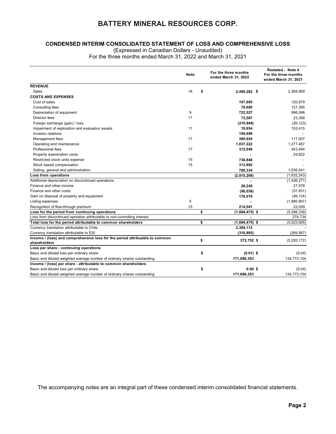#### CONDENSED INTERIM CONSOLIDATED STATEMENT OF LOSS AND COMPREHENSIVE LOSS

| <b>CONDENSED INTERIM CONSOLIDATED STATEMENT OF LOSS AND COMPREHENSIVE LOSS</b>              |            |      |                                              |                                                                          |
|---------------------------------------------------------------------------------------------|------------|------|----------------------------------------------|--------------------------------------------------------------------------|
| (Expressed in Canadian Dollars - Unaudited)                                                 |            |      |                                              |                                                                          |
| For the three months ended March 31, 2022 and March 31, 2021                                |            |      |                                              |                                                                          |
|                                                                                             | Note       |      | For the three months<br>ended March 31, 2022 | <b>Restated - Note 4</b><br>For the three months<br>ended March 31, 2021 |
| <b>REVENUE</b>                                                                              |            |      |                                              |                                                                          |
| Sales<br><b>COSTS AND EXPENSES</b>                                                          | 16         | - \$ | 2,489,282 \$                                 | 2,366,669                                                                |
| Cost of sales                                                                               |            |      | 107,605                                      | 120,879                                                                  |
| Consulting fees                                                                             |            |      | 70,680                                       | 127,395                                                                  |
| Depreciation of equipment                                                                   | 9          |      | 722,527                                      | 996,596                                                                  |
| Director fees                                                                               | 17         |      | 73,597                                       | 23,399                                                                   |
| Foreign exchange (gain) / loss                                                              |            |      | (210, 949)                                   | (26, 123)                                                                |
| Impairment of exploration and evaluation assets                                             | 11         |      | 19,954                                       | 152,415                                                                  |
| Investor relations                                                                          |            |      | 199,698                                      | $\overline{\phantom{a}}$                                                 |
| Management fees                                                                             | 17         |      | 360,924                                      | 117,007                                                                  |
| Operating and maintenance                                                                   |            |      | 1,037,222                                    | 1,277,487                                                                |
| Professional fees                                                                           | 17         |      | 312,048                                      | 343,494                                                                  |
| Property examination costs                                                                  |            |      |                                              | 29,822                                                                   |
| Restricted stock units expense                                                              | 15         |      | 736,948                                      | $\overline{\phantom{a}}$                                                 |
| Stock based compensation                                                                    | 15         |      | 313,992                                      |                                                                          |
| Selling, general and administration                                                         |            |      | 760,334                                      | 1,036,541                                                                |
| Loss from operations<br>Additional depreciation on discontinued operations                  |            |      | (2,015,298)                                  | (1,832,243)<br>(1,426,271)                                               |
| Finance and other income                                                                    |            |      | 28,240                                       | 27,978                                                                   |
| Finance and other costs                                                                     |            |      | (98, 038)                                    | (57, 831)                                                                |
| Gain on disposal of property and equipment                                                  |            |      | 176,079                                      | (46, 124)                                                                |
| Listing expenses                                                                            | $\sqrt{5}$ |      |                                              | (1,985,907)                                                              |
| Recognition of flow-through premium                                                         | 15         |      | 214,541                                      | 22,059                                                                   |
| Loss for the period from continuing operations                                              |            | \$   | $(1,694,475)$ \$                             | (5, 298, 339)                                                            |
| Loss from discontinued operation attributable to non-controlling interest                   |            |      | $\sim$                                       | 274,734                                                                  |
| Total loss for the period attributable to common shareholders                               |            | \$   | $(1,694,475)$ \$                             | (5,023,605)                                                              |
| Currency translation attributable to Chile                                                  |            |      | 2,384,112                                    |                                                                          |
| Currency translation attributable to ESI                                                    |            |      | (316, 885)                                   | (269, 567)                                                               |
| Income / (loss) and comprehensive loss for the period attribuable to common<br>shareholders |            | \$   | 372,752 \$                                   | (5, 293, 172)                                                            |
| Loss per share - continuing operations                                                      |            |      |                                              |                                                                          |
| Basic and diluted loss per ordinary share                                                   |            | \$   | $(0.01)$ \$                                  | (0.04)                                                                   |
| Basic and diluted weighted average number of ordinary shares outstanding                    |            |      | 171,696,353                                  | 134,773,154                                                              |
| Income / (loss) per share - attributable to common shareholders                             |            |      |                                              |                                                                          |
| Basic and diluted loss per ordinary share                                                   |            | \$   | $0.00$ \$<br>171,696,353                     | (0.04)                                                                   |
| Basic and diluted weighted average number of ordinary shares outstanding                    |            |      |                                              | 134,773,154                                                              |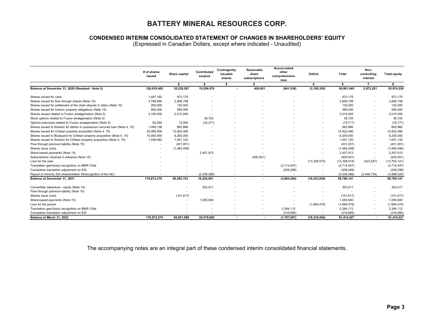# CONDENSED INTERIM CONSOLIDATED STATEMENT OF CHANGES IN SHAREHOLDERS' EQUITY

| <b>CONDENSED INTERIM CONSOLIDATED STATEMENT OF CHANGES IN SHAREHOLDERS' EQUITY</b>                                 |                       |                  |                        |                                    |                                        |                                                                     |                          |                         |                                                      |                          |
|--------------------------------------------------------------------------------------------------------------------|-----------------------|------------------|------------------------|------------------------------------|----------------------------------------|---------------------------------------------------------------------|--------------------------|-------------------------|------------------------------------------------------|--------------------------|
|                                                                                                                    |                       |                  |                        |                                    |                                        | (Expressed in Canadian Dollars, except where indicated - Unaudited) |                          |                         |                                                      |                          |
|                                                                                                                    | # of shares<br>issued | Share capital    | Contributed<br>surplus | Contingently<br>issuable<br>shares | Receivable<br>share<br>subscriptions   | <b>Accumulated</b><br>other<br>comprehensive<br>loss                | Deficit                  | Total                   | Non-<br>controlling<br>interest                      | <b>Total equity</b>      |
|                                                                                                                    |                       | - \$             | \$                     | $\bullet$                          | s.                                     |                                                                     | $\sim$                   | $\bullet$               | \$                                                   | $\bullet$                |
| Balance at December 31, 2020 (Restated - Note 3)                                                                   | 128,618,485           | 35,239,267       | 19,299,570             |                                    | 400,001                                | (941, 538)                                                          | (3, 195, 355)            | 50,801,945              | 2,872,281                                            | 53,674,226               |
| Shares issued for cash                                                                                             | 1,497,192             | 973,175          |                        |                                    | $\overline{\phantom{a}}$               |                                                                     |                          | 973,175                 | $\overline{\phantom{a}}$                             | 973,175                  |
| Shares issued for flow through shares (Note 15)                                                                    | 3,799,566             | 2,806,799        |                        |                                    |                                        |                                                                     |                          | 2,806,799               | $\overline{\phantom{a}}$                             | 2,806,799                |
| Shares issued for settlement of the claim dispute in Idaho (Note 15)                                               | 200,000               | 130,000          |                        |                                    |                                        |                                                                     |                          | 130,000                 | $\overline{\phantom{a}}$                             | 130,000                  |
| Shares issued for historic property obligations (Note 15)                                                          | 900,000               | 585,000          |                        |                                    |                                        |                                                                     |                          | 585,000                 |                                                      | 585,000                  |
| Shares issued related to Fusion amalgamation (Note 5)                                                              | 3,100,000             | 2,015,000        |                        |                                    |                                        |                                                                     |                          | 2,015,000               | $\overline{\phantom{a}}$                             | 2,015,000                |
| Stock options related to Fusion amalgamation (Note 5)<br>Options exercised related to Fusion amalgamation (Note 5) | $\sim$<br>62,500      | $\sim$<br>12,500 | 38,725<br>(32, 271)    |                                    |                                        |                                                                     |                          | 38,725<br>(19, 771)     | $\sim$                                               | 38,725<br>(19, 771)      |
| Shares issued to Weston for debtor in possession secured loan (Note 4, 15)                                         | 1,069,138             | 662,866          |                        |                                    |                                        |                                                                     |                          | 662,866                 | $\overline{\phantom{a}}$                             | 662,866                  |
| Shares issued for Chilean property acquisition (Note 4, 15)                                                        | 20,086,936            | 12,822,485       |                        |                                    |                                        |                                                                     |                          | 12,822,485              | $\sim$                                               | 12,822,485               |
| Shares issued to Bluequest for Chilean property acquisition (Note 4, 15)                                           | 10,000,000            | 6,200,000        |                        |                                    |                                        |                                                                     |                          | 6,200,000               | $\overline{\phantom{a}}$                             | 6,200,000                |
| Shares issued to Weston for Chilean property acquisition (Note 4, 15)                                              | 1,538,462             | 1,001,120        |                        |                                    |                                        |                                                                     |                          | 1,001,120               | $\overline{\phantom{a}}$                             | 1,001,120                |
| Flow through premium liability (Note 15)                                                                           |                       | (431, 051)       |                        |                                    |                                        |                                                                     |                          | (431, 051)              | $\overline{\phantom{a}}$                             | (431, 051)               |
| Shares issue costs                                                                                                 |                       | (1,064,458)      |                        |                                    | $\overline{\phantom{a}}$               |                                                                     |                          | (1,064,458)             | $\overline{\phantom{a}}$                             | (1,064,458)              |
| Share-based payments (Note 15)<br>Subscriptions received in advance (Note 15)                                      |                       |                  | 2,457,913              |                                    | $\overline{\phantom{a}}$<br>(400, 001) |                                                                     | $\sim$                   | 2,457,913<br>(400, 001) | $\overline{\phantom{a}}$                             | 2,457,913<br>(400, 001)  |
| Loss for the year                                                                                                  |                       |                  |                        |                                    |                                        |                                                                     | (13, 328, 574)           | (13, 328, 574)          | (423, 547)                                           | (13, 752, 121)           |
| Translation gain/(loss) recognition on BMR Chile                                                                   |                       |                  |                        |                                    |                                        | (2,714,447)                                                         |                          | (2,714,447)             | $\overline{\phantom{a}}$                             | (2,714,447)              |
| Cumulative translation adjustment on ESI                                                                           |                       |                  |                        |                                    |                                        | (208, 299)                                                          |                          | (208, 299)              |                                                      | (208, 299)               |
|                                                                                                                    |                       |                  | (2,539,286)            |                                    |                                        |                                                                     |                          | (2,539,286)             | (2, 448, 734)                                        | (4,988,020)              |
| Payout of minority ESI shareholders/ Derecognition of the NCI                                                      | 170,872,279           | 60,952,703       | 19,224,651             | $\sim$                             | $\overline{\phantom{a}}$               | (3,864,284)                                                         | (16, 523, 929)           | 59,789,141              |                                                      | 59,789,141               |
| Balance at December 31, 2021                                                                                       |                       |                  | 303,011                |                                    |                                        | $\overline{\phantom{a}}$                                            |                          | 303,011                 |                                                      | 303,011                  |
| Convertible debenture - equity (Note 14)                                                                           |                       |                  |                        |                                    | $\overline{\phantom{a}}$               | $\overline{\phantom{a}}$                                            | $\overline{\phantom{a}}$ |                         | $\overline{\phantom{a}}$                             | $\overline{\phantom{a}}$ |
| Flow through premium liability (Note 15)                                                                           |                       |                  |                        |                                    |                                        |                                                                     |                          |                         |                                                      |                          |
| Shares issue costs                                                                                                 |                       | (101, 617)       |                        |                                    | $\overline{\phantom{a}}$               |                                                                     |                          | (101, 617)              | $\overline{\phantom{a}}$                             | (101, 617)               |
| Share-based payments (Note 15)                                                                                     |                       |                  | 1,050,940              |                                    |                                        |                                                                     |                          | 1,050,940               |                                                      | 1,050,940                |
| Loss for the period                                                                                                |                       |                  |                        | $\sim$                             | $\sim$<br>$\sim$                       | $\overline{\phantom{a}}$                                            | (1,694,475)<br>$\sim$    | (1,694,475)             | $\overline{\phantom{a}}$<br>$\overline{\phantom{a}}$ | (1,694,475)              |
| Translation gain/(loss) recognition on BMR Chile<br>Cumulative translation adjustment on ESI                       |                       |                  | $\sim$                 | $\sim$                             | $\sim$                                 | 2,384,112<br>(316, 885)                                             | $\sim$                   | 2,384,112<br>(316, 885) | $\overline{\phantom{a}}$                             | 2,384,112<br>(316, 885)  |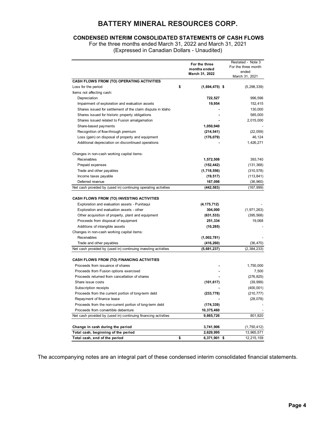# CONDENSED INTERIM CONSOLIDATED STATEMENTS OF CASH FLOWS

| (Expressed in Canadian Dollars - Unaudited)                    | For the three months ended March 31, 2022 and March 31, 2021 | <b>CONDENSED INTERIM CONSOLIDATED STATEMENTS OF CASH FLOWS</b> |
|----------------------------------------------------------------|--------------------------------------------------------------|----------------------------------------------------------------|
|                                                                | For the three<br>months ended                                | Restated - Note 3<br>For the three month<br>ended              |
|                                                                | March 31, 2022                                               | March 31, 2021                                                 |
| CASH FLOWS FROM (TO) OPERATING ACTIVITIES                      |                                                              |                                                                |
| Loss for the period                                            | \$<br>$(1,694,475)$ \$                                       | (5, 298, 339)                                                  |
| Items not affecting cash:                                      |                                                              |                                                                |
| Depreciation                                                   | 722,527                                                      | 996,596                                                        |
| Impairment of exploration and evaluation assets                | 19,954                                                       | 152,415                                                        |
| Shares issued for settlement of the claim dispute in Idaho     |                                                              | 130,000                                                        |
| Shares issued for historic property obligations                |                                                              | 585,000                                                        |
| Shares issued related to Fusion amalgamation                   |                                                              | 2,015,000                                                      |
| Share-based payments                                           | 1,050,940                                                    |                                                                |
| Recognition of flow-through premium                            | (214, 541)                                                   | (22, 059)                                                      |
| Loss (gain) on disposal of property and equipment              | (176, 079)                                                   | 46,124                                                         |
| Additional depreciation on discontinued operations             |                                                              | 1,426,271                                                      |
|                                                                |                                                              |                                                                |
| Changes in non-cash working capital items:                     |                                                              |                                                                |
| Receivables                                                    | 1,572,508                                                    | 393,740                                                        |
| Prepaid expenses                                               | (152, 442)                                                   | (131, 368)                                                     |
| Trade and other payables                                       | (1,718,556)                                                  | (310, 578)                                                     |
| Income taxes payable                                           | (19, 517)                                                    | (113, 841)                                                     |
| Deferred revenue                                               | 167,098                                                      | (36,960)                                                       |
| Net cash provided by (used in) continuing operating activities | (442, 583)                                                   | (167, 999)                                                     |
|                                                                |                                                              |                                                                |
|                                                                |                                                              |                                                                |
| CASH FLOWS FROM (TO) INVESTING ACTIVITIES                      |                                                              |                                                                |
| Exploration and evaluation assets - Punitaqui                  | (4, 175, 712)                                                |                                                                |
| Exploration and evaluation assets - other                      | 304,000                                                      | (1,971,263)                                                    |
| Other acquisition of property, plant and equipment             | (631, 533)                                                   | (395, 568)                                                     |
| Proceeds from disposal of equipment                            | 251,334                                                      | 19,068                                                         |
| Additions of intangible assets                                 | (10, 285)                                                    |                                                                |
| Changes in non-cash working capital items:                     |                                                              |                                                                |
| Receivables                                                    | (1,002,781)                                                  |                                                                |
| Trade and other payables                                       | (416, 260)                                                   | (36, 470)                                                      |
| Net cash provided by (used in) continuing investing activities | (5,681,237)                                                  | (2, 384, 233)                                                  |
|                                                                |                                                              |                                                                |
| CASH FLOWS FROM (TO) FINANCING ACTIVITIES                      |                                                              |                                                                |
| Proceeds from issuance of shares                               |                                                              | 1,750,000                                                      |
| Proceeds from Fusion options exercised                         |                                                              | 7,500                                                          |
| Proceeds returned from cancellation of shares                  |                                                              | (276, 825)                                                     |
| Share issue costs                                              | (101, 617)                                                   | (39, 999)                                                      |
| Subscription receipts                                          |                                                              | (400, 001)                                                     |
| Proceeds from the current portion of long-term debt            | (233, 778)                                                   | (210, 777)                                                     |
| Repayment of finance lease                                     |                                                              | (28, 078)                                                      |
| Proceeds from the non-current portion of long-term debt        | (174, 339)                                                   |                                                                |
| Proceeds from convertible debenture                            | 10,375,460                                                   |                                                                |
| Net cash provided by (used in) continuing financing activities | 9,865,726                                                    | 801,820                                                        |
|                                                                |                                                              |                                                                |
| Change in cash during the period                               | 3,741,906                                                    | (1,750,412)                                                    |
| Total cash, beginning of the period                            | 2,629,995                                                    | 13,965,571                                                     |
|                                                                | \$                                                           |                                                                |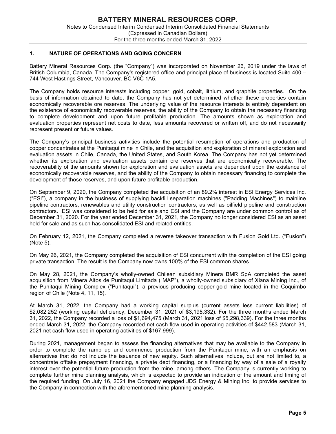# 1. NATURE OF OPERATIONS AND GOING CONCERN

Battery Mineral Resources Corp. (the "Company") was incorporated on November 26, 2019 under the laws of British Columbia, Canada. The Company's registered office and principal place of business is located Suite 400 – 744 West Hastings Street, Vancouver, BC V6C 1A5.

The Company holds resource interests including copper, gold, cobalt, lithium, and graphite properties. On the basis of information obtained to date, the Company has not yet determined whether these properties contain economically recoverable ore reserves. The underlying value of the resource interests is entirely dependent on the existence of economically recoverable reserves, the ability of the Company to obtain the necessary financing to complete development and upon future profitable production. The amounts shown as exploration and evaluation properties represent net costs to date, less amounts recovered or written off, and do not necessarily represent present or future values.

The Company's principal business activities include the potential resumption of operations and production of copper concentrates at the Punitaqui mine in Chile, and the acquisition and exploration of mineral exploration and evaluation assets in Chile, Canada, the United States, and South Korea. The Company has not yet determined whether its exploration and evaluation assets contain ore reserves that are economically recoverable. The recoverability of the amounts shown for exploration and evaluation assets are dependent upon the existence of economically recoverable reserves, and the ability of the Company to obtain necessary financing to complete the development of those reserves, and upon future profitable production.

On September 9, 2020, the Company completed the acquisition of an 89.2% interest in ESI Energy Services Inc. ("ESI"), a company in the business of supplying backfill separation machines ("Padding Machines") to mainline pipeline contractors, renewables and utility construction contractors, as well as oilfield pipeline and construction contractors. ESI was considered to be held for sale and ESI and the Company are under common control as of December 31, 2020. For the year ended December 31, 2021, the Company no longer considered ESI as an asset held for sale and as such has consolidated ESI and related entities.

On February 12, 2021, the Company completed a reverse takeover transaction with Fusion Gold Ltd. ("Fusion") (Note 5).

On May 26, 2021, the Company completed the acquisition of ESI concurrent with the completion of the ESI going private transaction. The result is the Company now owns 100% of the ESI common shares.

On May 28, 2021, the Company's wholly-owned Chilean subsidiary Minera BMR SpA completed the asset acquisition from Minera Altos de Punitaqui Limitada ("MAP"), a wholly-owned subsidiary of Xiana Mining Inc., of the Punitaqui Mining Complex ("Punitaqui"), a previous producing copper-gold mine located in the Coquimbo region of Chile (Note 4, 11, 15).

At March 31, 2022, the Company had a working capital surplus (current assets less current liabilities) of \$2,082,252 (working capital deficiency, December 31, 2021 of \$3,195,332). For the three months ended March 31, 2022, the Company recorded a loss of \$1,694,475 (March 31, 2021 loss of \$5,298,339). For the three months ended March 31, 2022, the Company recorded net cash flow used in operating activities of \$442,583 (March 31, 2021 net cash flow used in operating activities of \$167,999).

During 2021, management began to assess the financing alternatives that may be available to the Company in order to complete the ramp up and commence production from the Punitaqui mine, with an emphasis on alternatives that do not include the issuance of new equity. Such alternatives include, but are not limited to, a concentrate offtake prepayment financing, a private debt financing, or a financing by way of a sale of a royalty interest over the potential future production from the mine, among others. The Company is currently working to complete further mine planning analysis, which is expected to provide an indication of the amount and timing of the required funding. On July 16, 2021 the Company engaged JDS Energy & Mining Inc. to provide services to the Company in connection with the aforementioned mine planning analysis.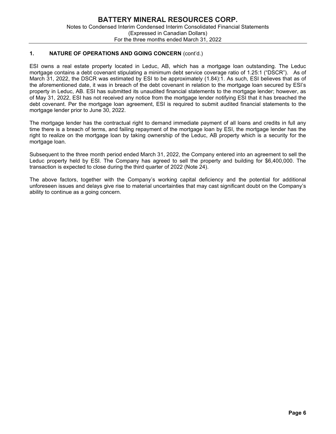# 1. NATURE OF OPERATIONS AND GOING CONCERN (cont'd.)

ESI owns a real estate property located in Leduc, AB, which has a mortgage loan outstanding. The Leduc mortgage contains a debt covenant stipulating a minimum debt service coverage ratio of 1.25:1 ("DSCR"). As of March 31, 2022, the DSCR was estimated by ESI to be approximately (1.84):1. As such, ESI believes that as of the aforementioned date, it was in breach of the debt covenant in relation to the mortgage loan secured by ESI's property in Leduc, AB. ESI has submitted its unaudited financial statements to the mortgage lender; however, as of May 31, 2022, ESI has not received any notice from the mortgage lender notifying ESI that it has breached the debt covenant. Per the mortgage loan agreement, ESI is required to submit audited financial statements to the mortgage lender prior to June 30, 2022.

The mortgage lender has the contractual right to demand immediate payment of all loans and credits in full any time there is a breach of terms, and failing repayment of the mortgage loan by ESI, the mortgage lender has the right to realize on the mortgage loan by taking ownership of the Leduc, AB property which is a security for the mortgage loan.

Subsequent to the three month period ended March 31, 2022, the Company entered into an agreement to sell the Leduc property held by ESI. The Company has agreed to sell the property and building for \$6,400,000. The transaction is expected to close during the third quarter of 2022 (Note 24).

The above factors, together with the Company's working capital deficiency and the potential for additional unforeseen issues and delays give rise to material uncertainties that may cast significant doubt on the Company's ability to continue as a going concern.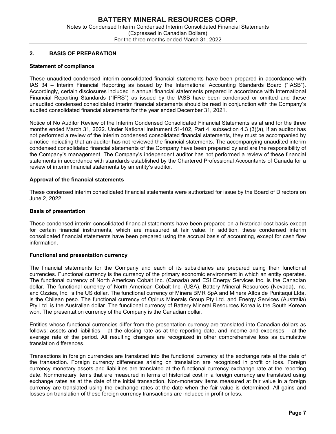# 2. BASIS OF PREPARATION

#### Statement of compliance

These unaudited condensed interim consolidated financial statements have been prepared in accordance with IAS 34 – Interim Financial Reporting as issued by the International Accounting Standards Board ("IASB"). Accordingly, certain disclosures included in annual financial statements prepared in accordance with International Financial Reporting Standards ("IFRS") as issued by the IASB have been condensed or omitted and these unaudited condensed consolidated interim financial statements should be read in conjunction with the Company's audited consolidated financial statements for the year ended December 31, 2021.

Notice of No Auditor Review of the Interim Condensed Consolidated Financial Statements as at and for the three months ended March 31, 2022. Under National Instrument 51-102, Part 4, subsection 4.3 (3)(a), if an auditor has not performed a review of the interim condensed consolidated financial statements, they must be accompanied by a notice indicating that an auditor has not reviewed the financial statements. The accompanying unaudited interim condensed consolidated financial statements of the Company have been prepared by and are the responsibility of the Company's management. The Company's independent auditor has not performed a review of these financial statements in accordance with standards established by the Chartered Professional Accountants of Canada for a review of interim financial statements by an entity's auditor.

# Approval of the financial statements

These condensed interim consolidated financial statements were authorized for issue by the Board of Directors on June 2, 2022.

#### Basis of presentation

These condensed interim consolidated financial statements have been prepared on a historical cost basis except for certain financial instruments, which are measured at fair value. In addition, these condensed interim consolidated financial statements have been prepared using the accrual basis of accounting, except for cash flow information.

#### Functional and presentation currency

The financial statements for the Company and each of its subsidiaries are prepared using their functional currencies. Functional currency is the currency of the primary economic environment in which an entity operates. The functional currency of North American Cobalt Inc. (Canada) and ESI Energy Services Inc. is the Canadian dollar. The functional currency of North American Cobalt Inc. (USA), Battery Mineral Resources (Nevada), Inc. and Ozzies, Inc. is the US dollar. The functional currency of Minera BMR SpA and Minera Altos de Punitaqui Ltda. is the Chilean peso. The functional currency of Opirus Minerals Group Pty Ltd. and Energy Services (Australia) Pty Ltd. is the Australian dollar. The functional currency of Battery Mineral Resources Korea is the South Korean won. The presentation currency of the Company is the Canadian dollar.

Entities whose functional currencies differ from the presentation currency are translated into Canadian dollars as follows: assets and liabilities – at the closing rate as at the reporting date, and income and expenses – at the average rate of the period. All resulting changes are recognized in other comprehensive loss as cumulative translation differences.

Transactions in foreign currencies are translated into the functional currency at the exchange rate at the date of the transaction. Foreign currency differences arising on translation are recognized in profit or loss. Foreign currency monetary assets and liabilities are translated at the functional currency exchange rate at the reporting date. Nonmonetary items that are measured in terms of historical cost in a foreign currency are translated using exchange rates as at the date of the initial transaction. Non-monetary items measured at fair value in a foreign currency are translated using the exchange rates at the date when the fair value is determined. All gains and losses on translation of these foreign currency transactions are included in profit or loss.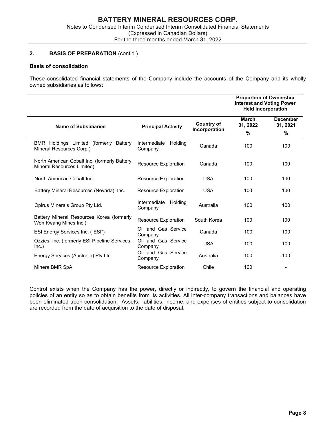# 2. BASIS OF PREPARATION (cont'd.)

# Basis of consolidation

These consolidated financial statements of the Company include the accounts of the Company and its wholly owned subsidiaries as follows:

|                                                                            |                                    |                                    | <b>Proportion of Ownership</b><br><b>Interest and Voting Power</b><br><b>Held Incorporation</b> |                             |
|----------------------------------------------------------------------------|------------------------------------|------------------------------------|-------------------------------------------------------------------------------------------------|-----------------------------|
| <b>Name of Subsidiaries</b>                                                | <b>Principal Activity</b>          | <b>Country of</b><br>Incorporation | March<br>31, 2022                                                                               | <b>December</b><br>31, 2021 |
|                                                                            |                                    |                                    | $\frac{9}{6}$                                                                                   | %                           |
| BMR Holdings Limited (formerly Battery<br>Mineral Resources Corp.)         | Intermediate<br>Holding<br>Company | Canada                             | 100                                                                                             | 100                         |
| North American Cobalt Inc. (formerly Battery<br>Mineral Resources Limited) | Resource Exploration               | Canada                             | 100                                                                                             | 100                         |
| North American Cobalt Inc.                                                 | Resource Exploration               | <b>USA</b>                         | 100                                                                                             | 100                         |
| Battery Mineral Resources (Nevada), Inc.                                   | <b>Resource Exploration</b>        | <b>USA</b>                         | 100                                                                                             | 100                         |
| Opirus Minerals Group Pty Ltd.                                             | Intermediate<br>Holding<br>Company | Australia                          | 100                                                                                             | 100                         |
| Battery Mineral Resources Korea (formerly<br>Won Kwang Mines Inc.)         | <b>Resource Exploration</b>        | South Korea                        | 100                                                                                             | 100                         |
| ESI Energy Services Inc. ("ESI")                                           | Oil and Gas Service<br>Company     | Canada                             | 100                                                                                             | 100                         |
| Ozzies, Inc. (formerly ESI Pipeline Services,<br>Inc.)                     | Oil and Gas Service<br>Company     | <b>USA</b>                         | 100                                                                                             | 100                         |
| Energy Services (Australia) Pty Ltd.                                       | Oil and Gas Service<br>Company     | Australia                          | 100                                                                                             | 100                         |
| Minera BMR SpA                                                             | Resource Exploration               | Chile                              | 100                                                                                             |                             |

Control exists when the Company has the power, directly or indirectly, to govern the financial and operating policies of an entity so as to obtain benefits from its activities. All inter-company transactions and balances have been eliminated upon consolidation. Assets, liabilities, income, and expenses of entities subject to consolidation are recorded from the date of acquisition to the date of disposal.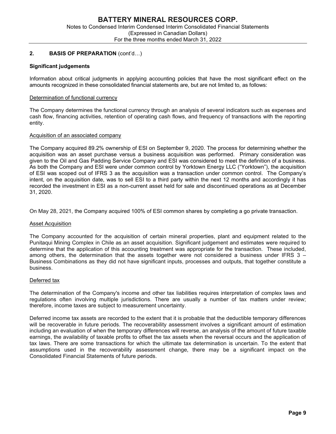# 2. BASIS OF PREPARATION (cont'd…)

#### Significant judgements

Information about critical judgments in applying accounting policies that have the most significant effect on the amounts recognized in these consolidated financial statements are, but are not limited to, as follows:

#### Determination of functional currency

The Company determines the functional currency through an analysis of several indicators such as expenses and cash flow, financing activities, retention of operating cash flows, and frequency of transactions with the reporting entity.

#### Acquisition of an associated company

The Company acquired 89.2% ownership of ESI on September 9, 2020. The process for determining whether the acquisition was an asset purchase versus a business acquisition was performed. Primary consideration was given to the Oil and Gas Padding Service Company and ESI was considered to meet the definition of a business. As both the Company and ESI were under common control by Yorktown Energy LLC ("Yorktown"), the acquisition of ESI was scoped out of IFRS 3 as the acquisition was a transaction under common control. The Company's intent, on the acquisition date, was to sell ESI to a third party within the next 12 months and accordingly it has recorded the investment in ESI as a non-current asset held for sale and discontinued operations as at December 31, 2020.

On May 28, 2021, the Company acquired 100% of ESI common shares by completing a go private transaction.

#### Asset Acquisition

The Company accounted for the acquisition of certain mineral properties, plant and equipment related to the Punitaqui Mining Complex in Chile as an asset acquisition. Significant judgement and estimates were required to determine that the application of this accounting treatment was appropriate for the transaction. These included, among others, the determination that the assets together were not considered a business under IFRS 3 – Business Combinations as they did not have significant inputs, processes and outputs, that together constitute a business.

#### Deferred tax

The determination of the Company's income and other tax liabilities requires interpretation of complex laws and regulations often involving multiple jurisdictions. There are usually a number of tax matters under review; therefore, income taxes are subject to measurement uncertainty.

Deferred income tax assets are recorded to the extent that it is probable that the deductible temporary differences will be recoverable in future periods. The recoverability assessment involves a significant amount of estimation including an evaluation of when the temporary differences will reverse, an analysis of the amount of future taxable earnings, the availability of taxable profits to offset the tax assets when the reversal occurs and the application of tax laws. There are some transactions for which the ultimate tax determination is uncertain. To the extent that assumptions used in the recoverability assessment change, there may be a significant impact on the Consolidated Financial Statements of future periods.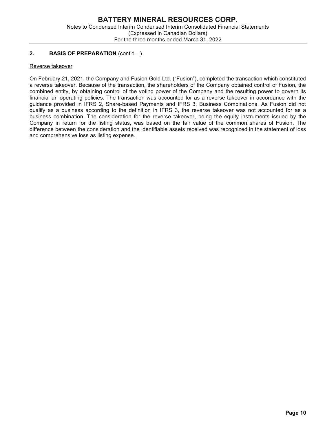# 2. BASIS OF PREPARATION (cont'd…)

# Reverse takeover

On February 21, 2021, the Company and Fusion Gold Ltd. ("Fusion"), completed the transaction which constituted a reverse takeover. Because of the transaction, the shareholders of the Company obtained control of Fusion, the combined entity, by obtaining control of the voting power of the Company and the resulting power to govern its financial an operating policies. The transaction was accounted for as a reverse takeover in accordance with the guidance provided in IFRS 2, Share-based Payments and IFRS 3, Business Combinations. As Fusion did not qualify as a business according to the definition in IFRS 3, the reverse takeover was not accounted for as a business combination. The consideration for the reverse takeover, being the equity instruments issued by the Company in return for the listing status, was based on the fair value of the common shares of Fusion. The difference between the consideration and the identifiable assets received was recognized in the statement of loss and comprehensive loss as listing expense.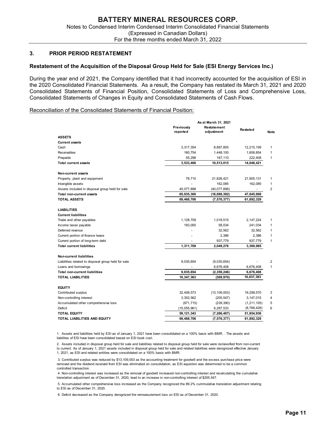#### 3. PRIOR PERIOD RESTATEMENT

#### Restatement of the Acquisition of the Disposal Group Held for Sale (ESI Energy Services Inc.)

During the year end of 2021, the Company identified that it had incorrectly accounted for the acquisition of ESI in the 2020 Consolidated Financial Statements. As a result, the Company has restated its March 31, 2021 and 2020 Consolidated Statements of Financial Position, Consolidated Statements of Loss and Comprehensive Loss, Consolidated Statements of Changes in Equity and Consolidated Statements of Cash Flows.

#### Reconciliation of the Consolidated Statements of Financial Position:

|                                                                                                                                                                                                                                                                                                                 | For the three months ended March 31, 2022 |                              |                         |                      |
|-----------------------------------------------------------------------------------------------------------------------------------------------------------------------------------------------------------------------------------------------------------------------------------------------------------------|-------------------------------------------|------------------------------|-------------------------|----------------------|
|                                                                                                                                                                                                                                                                                                                 |                                           |                              |                         |                      |
| IOR PERIOD RESTATEMENT                                                                                                                                                                                                                                                                                          |                                           |                              |                         |                      |
| nt of the Acquisition of the Disposal Group Held for Sale (ESI Energy Services Inc.)                                                                                                                                                                                                                            |                                           |                              |                         |                      |
| year end of 2021, the Company identified that it had incorrectly accounted for the acquisition of ESI in<br>onsolidated Financial Statements. As a result, the Company has restated its March 31, 2021 and 2020<br>ed Statements of Financial Position, Consolidated Statements of Loss and Comprehensive Loss, |                                           |                              |                         |                      |
| ed Statements of Changes in Equity and Consolidated Statements of Cash Flows.                                                                                                                                                                                                                                   |                                           |                              |                         |                      |
| ion of the Consolidated Statements of Financial Position:                                                                                                                                                                                                                                                       |                                           |                              |                         |                      |
|                                                                                                                                                                                                                                                                                                                 |                                           | As at March 31, 2021         |                         |                      |
|                                                                                                                                                                                                                                                                                                                 | Previously<br>reported                    | Restatement<br>adjustment    | Restated                | <b>Note</b>          |
| <b>ASSETS</b>                                                                                                                                                                                                                                                                                                   |                                           |                              |                         |                      |
| <b>Current assets</b><br>Cash                                                                                                                                                                                                                                                                                   | 3,317,354                                 | 8,897,805                    | 12,215,159              | $\mathbf{1}$         |
| Receivables                                                                                                                                                                                                                                                                                                     | 160,754                                   | 1,448,100                    | 1,608,854               | $\overline{1}$       |
| Prepaids                                                                                                                                                                                                                                                                                                        | 55,298                                    | 167,110                      | 222,408                 | -1                   |
| <b>Total current assets</b>                                                                                                                                                                                                                                                                                     | 3,533,406                                 | 10,513,015                   | 14,046,421              |                      |
| Non-current assets                                                                                                                                                                                                                                                                                              |                                           |                              |                         |                      |
| Property, plant and equipment                                                                                                                                                                                                                                                                                   | 78,710                                    | 21,826,421                   | 21,905,131              | -1                   |
| Intangible assets                                                                                                                                                                                                                                                                                               | 40,077,898                                | 162,085<br>(40,077,898)      | 162,085<br>$\sim$       | $\overline{1}$<br>2  |
| Assets included in disposal group held for sale<br>Total non-current assets                                                                                                                                                                                                                                     | 65,935,300                                | (18,089,392)                 | 47,845,908              |                      |
| <b>TOTAL ASSETS</b>                                                                                                                                                                                                                                                                                             | 69,468,706                                | (7, 576, 377)                | 61,892,329              |                      |
| <b>LIABILITIES</b>                                                                                                                                                                                                                                                                                              |                                           |                              |                         |                      |
| <b>Current liabilities</b>                                                                                                                                                                                                                                                                                      |                                           |                              |                         |                      |
| Trade and other payables                                                                                                                                                                                                                                                                                        | 1,128,709                                 | 1,018,515                    | 2,147,224               | $\mathbf{1}$         |
| Income taxes payable                                                                                                                                                                                                                                                                                            | 183,000                                   | 58,034                       | 241,034                 | $\mathbf{1}$         |
| Deferred revenue<br>Current portion of finance lease                                                                                                                                                                                                                                                            |                                           | 32,562<br>2,386              | 32,562<br>2,386         | -1<br>$\overline{1}$ |
| Current portion of long-term debt                                                                                                                                                                                                                                                                               |                                           | 937,779                      | 937,779                 | $\overline{1}$       |
| <b>Total current liabilities</b>                                                                                                                                                                                                                                                                                | 1,311,709                                 | 2,049,276                    | 3,360,985               |                      |
| Non-current liabilities                                                                                                                                                                                                                                                                                         |                                           |                              |                         |                      |
| Liabilities related to disposal group held for sale                                                                                                                                                                                                                                                             | 9,035,654                                 | (9,035,654)                  |                         | $\overline{2}$       |
| Loans and borrowings                                                                                                                                                                                                                                                                                            |                                           | 6,676,408                    | 6,676,408               | $\overline{1}$       |
| <b>Total non-current liabilities</b><br><b>TOTAL LIABILITIES</b>                                                                                                                                                                                                                                                | 9,035,654<br>10,347,363                   | (2,359,246)<br>(309, 970)    | 6,676,408<br>10,037,393 |                      |
|                                                                                                                                                                                                                                                                                                                 |                                           |                              |                         |                      |
| <b>EQUITY</b>                                                                                                                                                                                                                                                                                                   |                                           |                              |                         |                      |
| Contributed surplus<br>Non-controlling interest                                                                                                                                                                                                                                                                 | 32,408,573<br>3,352,562                   | (13, 109, 003)<br>(205, 547) | 19,299,570<br>3,147,015 | 3<br>4               |
| Accumulated other comprehensive loss                                                                                                                                                                                                                                                                            | (971, 715)                                | (239, 390)                   | (1, 211, 105)           | 5                    |
| Deficit                                                                                                                                                                                                                                                                                                         | (15,055,961)                              | 6,287,533                    | (8,768,428)             | 6                    |
|                                                                                                                                                                                                                                                                                                                 | 59, 121, 343                              | (7, 266, 407)                | 51,854,936              |                      |
| <b>TOTAL EQUITY</b>                                                                                                                                                                                                                                                                                             |                                           |                              |                         |                      |

2. Assets included in disposal group held for sale and liabilities related to disposal group held for sale were reclassified from non-current to current. As of January 1, 2021 assets included in disposal group held for sale and related liabilities were derognized effective January 1, 2021, as ESI and related entities were consolidated on a 100% basis with BMR.

 3. Contributed surplus was reduced by \$13,109,003 as the accounting treatment for goodwill and the excess purchase price were removed and the dividend received from ESI was eliminated on consolidation, as ESI aquistion was determined to be a common controlled transaction.

 4. Non-controlling interest was increased as the removal of goodwill increased non-controlling interest and recalculating the cumulative translation adjustment as of December 31, 2020, lead to an increase in non-controlling interest of \$205,547.

 5. Accumulated other comprehensive loss increased as the Company recognized the 89.2% cummulative translation adjustment relating to ESI as of December 31, 2020.

6. Deficit decreased as the Company derognized the remeasurement loss on ESI as of December 31, 2020.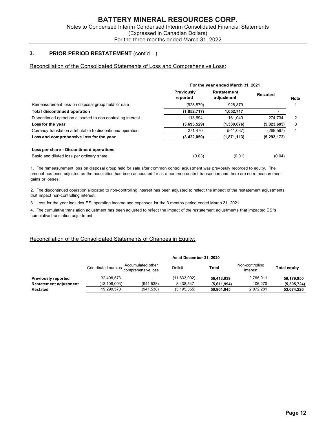# 3. PRIOR PERIOD RESTATEMENT (cont'd...)

#### Reconciliation of the Consolidated Statements of Loss and Comprehensive Loss:

| Notes to Condensed Interim Condensed Interim Consolidated Financial Statements                                                                                                                                                                                                                                                        |                                           |                                   |               |                |
|---------------------------------------------------------------------------------------------------------------------------------------------------------------------------------------------------------------------------------------------------------------------------------------------------------------------------------------|-------------------------------------------|-----------------------------------|---------------|----------------|
|                                                                                                                                                                                                                                                                                                                                       | (Expressed in Canadian Dollars)           |                                   |               |                |
|                                                                                                                                                                                                                                                                                                                                       | For the three months ended March 31, 2022 |                                   |               |                |
|                                                                                                                                                                                                                                                                                                                                       |                                           |                                   |               |                |
|                                                                                                                                                                                                                                                                                                                                       |                                           | For the year ended March 31, 2021 |               |                |
|                                                                                                                                                                                                                                                                                                                                       | Previously<br>reported                    | Restatement<br>adjustment         | Restated      | <b>Note</b>    |
|                                                                                                                                                                                                                                                                                                                                       | (928, 879)                                | 928,879                           |               | 1              |
|                                                                                                                                                                                                                                                                                                                                       | (1,052,717)                               | 1,052,717                         |               |                |
|                                                                                                                                                                                                                                                                                                                                       | 113,694                                   | 161,040                           | 274,734       | $\overline{2}$ |
|                                                                                                                                                                                                                                                                                                                                       | (3,693,529)                               | (1, 330, 076)                     | (5,023,605)   | 3              |
|                                                                                                                                                                                                                                                                                                                                       | 271,470                                   | (541, 037)                        | (269, 567)    | 4              |
|                                                                                                                                                                                                                                                                                                                                       | (3,422,059)                               | (1,871,113)                       | (5, 293, 172) |                |
| Remeasurement loss on disposal group held for sale<br><b>Total discontinued operation</b><br>Discontinued operation allocated to non-controlling interest<br>Loss for the year<br>Currency translation attributable to discontinued operation<br>Loss and comprehensive loss for the year<br>Loss per share - Discontinued operations |                                           |                                   |               |                |

2. The discontinued operation allocated to non-controlling interest has been adjusted to reflect the impact of the restatement adjustments that impact non-controlling interest.

3. Loss for the year includes ESI operating income and expenses for the 3 months period ended March 31, 2021.

4. The cumulative translation adjustment has been adjusted to reflect the impact of the restatement adjustments that impacted ESI's cumulative translation adjustment.

#### Reconciliation of the Consolidated Statements of Changes in Equity:

|                               |                     |                                         | As at December 31, 2020 |             |                             |                     |
|-------------------------------|---------------------|-----------------------------------------|-------------------------|-------------|-----------------------------|---------------------|
|                               | Contributed surplus | Accumulated other<br>comprehensive loss | Deficit                 | Total       | Non-controlling<br>interest | <b>Total equity</b> |
| <b>Previously reported</b>    | 32,408,573          | $\overline{\phantom{0}}$                | (11, 633, 902)          | 56.413.939  | 2,766,011                   | 59,179,950          |
| <b>Restatement adjustment</b> | (13, 109, 003)      | (941, 538)                              | 8,438,547               | (5,611,994) | 106,270                     | (5,505,724)         |
| Restated                      | 19,299,570          | (941, 538)                              | (3, 195, 355)           | 50,801,945  | 2,872,281                   | 53,674,226          |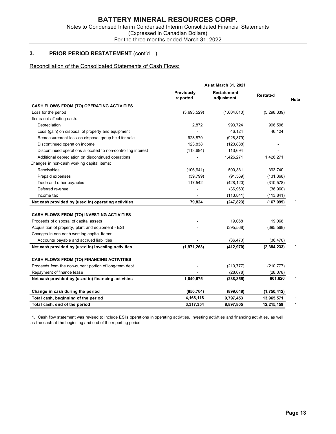# 3. PRIOR PERIOD RESTATEMENT (cont'd...)

# Reconciliation of the Consolidated Statements of Cash Flows:

| For the three months ended March 31, 2022                            | (Expressed in Canadian Dollars) |                           |                          |             |
|----------------------------------------------------------------------|---------------------------------|---------------------------|--------------------------|-------------|
| 3.<br><b>PRIOR PERIOD RESTATEMENT (cont'd)</b>                       |                                 |                           |                          |             |
| Reconciliation of the Consolidated Statements of Cash Flows:         |                                 |                           |                          |             |
|                                                                      |                                 | As at March 31, 2021      |                          |             |
|                                                                      | Previously<br>reported          | Restatement<br>adjustment | Restated                 | <b>Note</b> |
| <b>CASH FLOWS FROM (TO) OPERATING ACTIVITIES</b>                     |                                 |                           |                          |             |
| Loss for the period                                                  | (3,693,529)                     | (1,604,810)               | (5, 298, 339)            |             |
| Items not affecting cash:                                            |                                 |                           |                          |             |
| Depreciation                                                         | 2,872                           | 993,724                   | 996,596                  |             |
| Loss (gain) on disposal of property and equipment                    |                                 | 46,124                    | 46,124                   |             |
| Remeasurement loss on disposal group held for sale                   | 928,879                         | (928, 879)                |                          |             |
| Discontinued operation income                                        | 123,838                         | (123, 838)                |                          |             |
| Discontinued operations allocated to non-controlling interest        | (113, 694)                      | 113,694                   |                          |             |
| Additional depreciation on discontinued operations                   |                                 | 1,426,271                 | 1,426,271                |             |
| Changes in non-cash working capital items:                           |                                 |                           |                          |             |
| <b>Receivables</b>                                                   | (106, 641)                      | 500,381                   | 393,740                  |             |
| Prepaid expenses                                                     | (39, 799)                       | (91, 569)                 | (131, 368)               |             |
| Trade and other payables                                             | 117,542                         | (428, 120)                | (310, 578)               |             |
| Deferred revenue                                                     |                                 | (36,960)                  | (36,960)                 |             |
| Income tax<br>Net cash provided by (used in) operating activities    | 79,824                          | (113, 841)<br>(247, 823)  | (113, 841)<br>(167, 999) | 1           |
|                                                                      |                                 |                           |                          |             |
| CASH FLOWS FROM (TO) INVESTING ACTIVITIES                            |                                 |                           |                          |             |
| Proceeds of disposal of capital assets                               |                                 | 19,068                    | 19,068                   |             |
| Acquisition of property, plant and equipment - ESI                   |                                 | (395, 568)                | (395, 568)               |             |
| Changes in non-cash working capital items:                           |                                 |                           |                          |             |
| Accounts payable and accrued liabilities                             |                                 | (36, 470)                 | (36, 470)                |             |
| Net cash provided by (used in) investing activities                  | (1, 971, 263)                   | (412, 970)                | (2, 384, 233)            | 1           |
|                                                                      |                                 |                           |                          |             |
| <b>CASH FLOWS FROM (TO) FINANCING ACTIVITIES</b>                     |                                 |                           |                          |             |
| Proceeds from the non-current portion of long-term debt              |                                 | (210, 777)                | (210, 777)               |             |
| Repayment of finance lease                                           |                                 | (28,078)                  | (28,078)                 |             |
| Net cash provided by (used in) financing activities                  | 1,040,675                       | (238, 855)                | 801,820                  | 1           |
|                                                                      |                                 |                           |                          |             |
| Change in cash during the period                                     | (850, 764)<br>4,168,118         | (899, 648)                | (1,750,412)              |             |
| Total cash, beginning of the period<br>Total cash, end of the period |                                 | 9,797,453                 | 13,965,571               | 1           |
|                                                                      | 3,317,354                       | 8,897,805                 | 12,215,159               |             |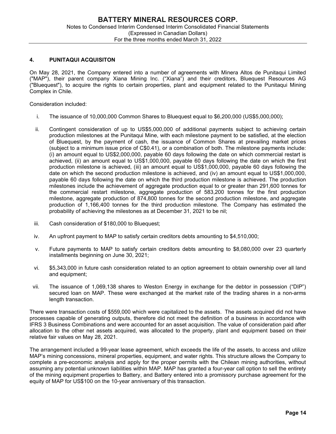#### 4. PUNITAQUI ACQUISITON

On May 28, 2021, the Company entered into a number of agreements with Minera Altos de Punitaqui Limited ("MAP"), their parent company Xiana Mining Inc. ("Xiana") and their creditors, Bluequest Resources AG ("Bluequest"), to acquire the rights to certain properties, plant and equipment related to the Punitaqui Mining Complex in Chile.

Consideration included:

- i. The issuance of 10,000,000 Common Shares to Bluequest equal to \$6,200,000 (US\$5,000,000);
- ii. Contingent consideration of up to US\$5,000,000 of additional payments subject to achieving certain production milestones at the Punitaqui Mine, with each milestone payment to be satisfied, at the election of Bluequest, by the payment of cash, the issuance of Common Shares at prevailing market prices (subject to a minimum issue price of C\$0.41), or a combination of both. The milestone payments include: (i) an amount equal to US\$2,000,000, payable 60 days following the date on which commercial restart is achieved, (ii) an amount equal to US\$1,000,000, payable 60 days following the date on which the first production milestone is achieved, (iii) an amount equal to US\$1,000,000, payable 60 days following the date on which the second production milestone is achieved, and (iv) an amount equal to US\$1,000,000, payable 60 days following the date on which the third production milestone is achieved. The production milestones include the achievement of aggregate production equal to or greater than 291,600 tonnes for the commercial restart milestone, aggregate production of 583,200 tonnes for the first production milestone, aggregate production of 874,800 tonnes for the second production milestone, and aggregate production of 1,166,400 tonnes for the third production milestone. The Company has estimated the probability of achieving the milestones as at December 31, 2021 to be nil;
- iii. Cash consideration of \$180,000 to Bluequest;
- iv. An upfront payment to MAP to satisfy certain creditors debts amounting to \$4,510,000;
- v. Future payments to MAP to satisfy certain creditors debts amounting to \$8,080,000 over 23 quarterly installments beginning on June 30, 2021;
- vi. \$5,343,000 in future cash consideration related to an option agreement to obtain ownership over all land and equipment;
- vii. The issuance of 1,069,138 shares to Weston Energy in exchange for the debtor in possession ("DIP") secured loan on MAP. These were exchanged at the market rate of the trading shares in a non-arms length transaction.

There were transaction costs of \$559,000 which were capitalized to the assets. The assets acquired did not have processes capable of generating outputs, therefore did not meet the definition of a business in accordance with IFRS 3 Business Combinations and were accounted for an asset acquisition. The value of consideration paid after allocation to the other net assets acquired, was allocated to the property, plant and equipment based on their relative fair values on May 28, 2021.

The arrangement included a 99-year lease agreement, which exceeds the life of the assets, to access and utilize MAP's mining concessions, mineral properties, equipment, and water rights. This structure allows the Company to complete a pre-economic analysis and apply for the proper permits with the Chilean mining authorities, without assuming any potential unknown liabilities within MAP. MAP has granted a four-year call option to sell the entirety of the mining equipment properties to Battery, and Battery entered into a promissory purchase agreement for the equity of MAP for US\$100 on the 10-year anniversary of this transaction.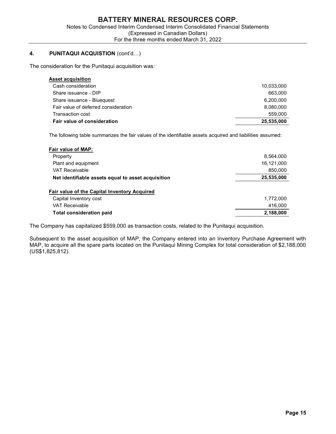# 4. PUNITAQUI ACQUISTION (cont'd...)

The consideration for the Punitaqui acquisition was:

| <b>BATTERY MINERAL RESOURCES CORP.</b>                                                                            |            |
|-------------------------------------------------------------------------------------------------------------------|------------|
| Notes to Condensed Interim Condensed Interim Consolidated Financial Statements<br>(Expressed in Canadian Dollars) |            |
| For the three months ended March 31, 2022                                                                         |            |
|                                                                                                                   |            |
| <b>PUNITAQUI ACQUISTION (cont'd)</b>                                                                              |            |
| sideration for the Punitaqui acquisition was:                                                                     |            |
| <b>Asset acquisition</b>                                                                                          |            |
| Cash consideration                                                                                                | 10,033,000 |
| Share issuance - DIP                                                                                              | 663,000    |
| Share issuance - Bluequest                                                                                        | 6,200,000  |
| Fair value of deferred consideration                                                                              | 8,080,000  |
| Transaction cost                                                                                                  | 559,000    |
| Fair value of consideration                                                                                       | 25,535,000 |
| The following table summarizes the fair values of the identifiable assets acquired and liabilities assumed:       |            |
| Fair value of MAP:                                                                                                |            |
|                                                                                                                   |            |

| Notes to Condensed Interim Condensed Interim Consolidated Financial Statements<br>(Expressed in Canadian Dollars)<br>For the three months ended March 31, 2022 | <b>BATTERY MINERAL RESOURCES CORP.</b> |
|----------------------------------------------------------------------------------------------------------------------------------------------------------------|----------------------------------------|
|                                                                                                                                                                |                                        |
| <b>PUNITAQUI ACQUISTION (cont'd)</b>                                                                                                                           |                                        |
| sideration for the Punitaqui acquisition was:                                                                                                                  |                                        |
| <b>Asset acquisition</b>                                                                                                                                       |                                        |
| Cash consideration                                                                                                                                             | 10,033,000                             |
| Share issuance - DIP                                                                                                                                           | 663,000                                |
|                                                                                                                                                                | 6,200,000                              |
| Share issuance - Bluequest                                                                                                                                     |                                        |
| Fair value of deferred consideration                                                                                                                           | 8,080,000                              |
| <b>Transaction cost</b>                                                                                                                                        | 559,000                                |
| Fair value of consideration<br>The following table summarizes the fair values of the identifiable assets acquired and liabilities assumed:                     | 25,535,000                             |
| Fair value of MAP:<br>Property<br>Plant and equipment                                                                                                          | 8,564,000<br>16,121,000                |
| <b>VAT Receivable</b>                                                                                                                                          | 850,000                                |
| Net identifiable assets equal to asset acquisition                                                                                                             | 25,535,000                             |
| Fair value of the Capital Inventory Acquired                                                                                                                   |                                        |
| Capital Inventory cost                                                                                                                                         | 1,772,000                              |
| <b>VAT Receivable</b>                                                                                                                                          | 416,000                                |

The Company has capitalized \$559,000 as transaction costs, related to the Punitaqui acquisition.

Subsequent to the asset acquisition of MAP, the Company entered into an Inventory Purchase Agreement with MAP, to acquire all the spare parts located on the Punitaqui Mining Complex for total consideration of \$2,188,000 (US\$1,825,812).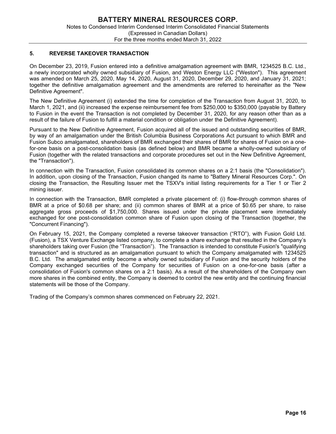# 5. REVERSE TAKEOVER TRANSACTION

On December 23, 2019, Fusion entered into a definitive amalgamation agreement with BMR, 1234525 B.C. Ltd., a newly incorporated wholly owned subsidiary of Fusion, and Weston Energy LLC ("Weston"). This agreement was amended on March 25, 2020, May 14, 2020, August 31, 2020, December 29, 2020, and January 31, 2021; together the definitive amalgamation agreement and the amendments are referred to hereinafter as the "New Definitive Agreement".

The New Definitive Agreement (i) extended the time for completion of the Transaction from August 31, 2020, to March 1, 2021, and (ii) increased the expense reimbursement fee from \$250,000 to \$350,000 (payable by Battery to Fusion in the event the Transaction is not completed by December 31, 2020, for any reason other than as a result of the failure of Fusion to fulfill a material condition or obligation under the Definitive Agreement).

Pursuant to the New Definitive Agreement, Fusion acquired all of the issued and outstanding securities of BMR, by way of an amalgamation under the British Columbia Business Corporations Act pursuant to which BMR and Fusion Subco amalgamated, shareholders of BMR exchanged their shares of BMR for shares of Fusion on a onefor-one basis on a post-consolidation basis (as defined below) and BMR became a wholly-owned subsidiary of Fusion (together with the related transactions and corporate procedures set out in the New Definitive Agreement, the "Transaction").

In connection with the Transaction, Fusion consolidated its common shares on a 2:1 basis (the "Consolidation"). In addition, upon closing of the Transaction, Fusion changed its name to "Battery Mineral Resources Corp.". On closing the Transaction, the Resulting Issuer met the TSXV's initial listing requirements for a Tier 1 or Tier 2 mining issuer.

In connection with the Transaction, BMR completed a private placement of: (i) flow-through common shares of BMR at a price of \$0.68 per share; and (ii) common shares of BMR at a price of \$0.65 per share, to raise aggregate gross proceeds of \$1,750,000. Shares issued under the private placement were immediately exchanged for one post-consolidation common share of Fusion upon closing of the Transaction (together, the "Concurrent Financing").

On February 15, 2021, the Company completed a reverse takeover transaction ("RTO"), with Fusion Gold Ltd. (Fusion), a TSX Venture Exchange listed company, to complete a share exchange that resulted in the Company's shareholders taking over Fusion (the "Transaction"). The Transaction is intended to constitute Fusion's "qualifying transaction" and is structured as an amalgamation pursuant to which the Company amalgamated with 1234525 B.C. Ltd. The amalgamated entity become a wholly owned subsidiary of Fusion and the security holders of the Company exchanged securities of the Company for securities of Fusion on a one-for-one basis (after a consolidation of Fusion's common shares on a 2:1 basis). As a result of the shareholders of the Company own more shares in the combined entity, the Company is deemed to control the new entity and the continuing financial statements will be those of the Company.

Trading of the Company's common shares commenced on February 22, 2021.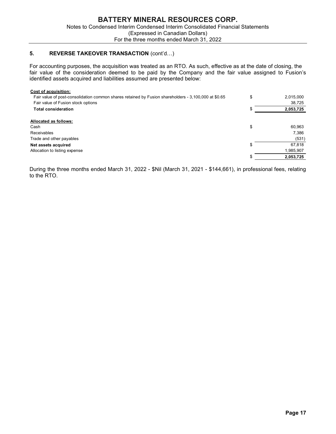# 5. REVERSE TAKEOVER TRANSACTION (cont'd...)

| <b>BATTERY MINERAL RESOURCES CORP.</b><br>Notes to Condensed Interim Condensed Interim Consolidated Financial Statements<br>(Expressed in Canadian Dollars)<br>For the three months ended March 31, 2022 |                     |
|----------------------------------------------------------------------------------------------------------------------------------------------------------------------------------------------------------|---------------------|
| 5.<br><b>REVERSE TAKEOVER TRANSACTION (cont'd)</b>                                                                                                                                                       |                     |
|                                                                                                                                                                                                          |                     |
| For accounting purposes, the acquisition was treated as an RTO. As such, effective as at the date of closing, the                                                                                        |                     |
| fair value of the consideration deemed to be paid by the Company and the fair value assigned to Fusion's<br>identified assets acquired and liabilities assumed are presented below:                      |                     |
| Cost of acquisition:                                                                                                                                                                                     |                     |
| Fair value of post-consolidation common shares retained by Fusion shareholders - 3,100,000 at \$0.65                                                                                                     | \$<br>2,015,000     |
| Fair value of Fusion stock options<br><b>Total consideration</b>                                                                                                                                         | 38,725<br>2,053,725 |
|                                                                                                                                                                                                          |                     |
| Allocated as follows:<br>Cash                                                                                                                                                                            | \$<br>60,963        |
| <b>Receivables</b>                                                                                                                                                                                       | 7,386               |
| Trade and other payables                                                                                                                                                                                 | (531)               |
| Net assets acquired                                                                                                                                                                                      | 67,818              |
| Allocation to listing expense                                                                                                                                                                            | 1,985,907           |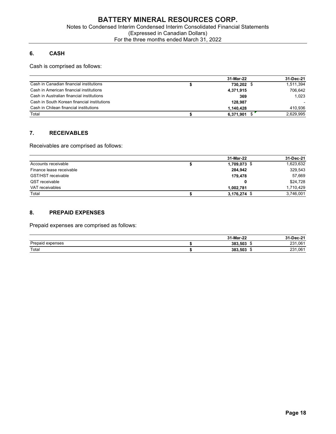# 6. CASH

|                                                                                | <b>BATTERY MINERAL RESOURCES CORP.</b>    |              |           |
|--------------------------------------------------------------------------------|-------------------------------------------|--------------|-----------|
| Notes to Condensed Interim Condensed Interim Consolidated Financial Statements |                                           |              |           |
|                                                                                | (Expressed in Canadian Dollars)           |              |           |
|                                                                                | For the three months ended March 31, 2022 |              |           |
| <b>CASH</b><br>6.                                                              |                                           |              |           |
|                                                                                |                                           |              |           |
| Cash is comprised as follows:                                                  |                                           |              |           |
|                                                                                |                                           |              |           |
|                                                                                |                                           | 31-Mar-22    | 31-Dec-21 |
| Cash in Canadian financial institutions                                        | \$                                        | 730,202 \$   | 1,511,394 |
| Cash in American financial institutions                                        |                                           | 4,371,915    | 706,642   |
| Cash in Australian financial institutions                                      |                                           | 369          | 1,023     |
| Cash in South Korean financial institutions                                    |                                           | 128,987      |           |
| Cash in Chilean financial institutions                                         |                                           | 1,140,428    | 410,936   |
| Total                                                                          | \$                                        | 6,371,901 \$ | 2,629,995 |
|                                                                                |                                           |              |           |
| 7.<br><b>RECEIVABLES</b>                                                       |                                           |              |           |
| Receivables are comprised as follows:                                          |                                           |              |           |
|                                                                                |                                           | 31-Mar-22    | 31-Dec-21 |
| Accounts receivable                                                            | \$                                        | 1,709,073 \$ | 1,623,632 |
| Finance lease receivable                                                       |                                           | 284,942      | 329,543   |
| GST/HST receivable                                                             |                                           | 179,478      | 57,669    |
| QST receivable                                                                 |                                           | $\mathbf{0}$ | \$24,728  |
| VAT receivables                                                                |                                           | 1,002,781    | 1,710,429 |
|                                                                                |                                           |              | 2746001   |

# 7. RECEIVABLES

| DATTENT MINENAL NESOUNGES CONF.<br>Notes to Condensed Interim Condensed Interim Consolidated Financial Statements<br>(Expressed in Canadian Dollars)<br>For the three months ended March 31, 2022 |          |                                                                                   |                                                                                   |  |  |  |  |  |
|---------------------------------------------------------------------------------------------------------------------------------------------------------------------------------------------------|----------|-----------------------------------------------------------------------------------|-----------------------------------------------------------------------------------|--|--|--|--|--|
| 6.<br><b>CASH</b>                                                                                                                                                                                 |          |                                                                                   |                                                                                   |  |  |  |  |  |
| Cash is comprised as follows:                                                                                                                                                                     |          |                                                                                   |                                                                                   |  |  |  |  |  |
|                                                                                                                                                                                                   |          | 31-Mar-22                                                                         | 31-Dec-21                                                                         |  |  |  |  |  |
| Cash in Canadian financial institutions                                                                                                                                                           | \$       | 730,202 \$                                                                        | 1,511,394                                                                         |  |  |  |  |  |
| Cash in American financial institutions                                                                                                                                                           |          | 4,371,915                                                                         | 706,642                                                                           |  |  |  |  |  |
| Cash in Australian financial institutions                                                                                                                                                         |          | 369                                                                               | 1,023                                                                             |  |  |  |  |  |
| Cash in South Korean financial institutions                                                                                                                                                       |          | 128,987                                                                           |                                                                                   |  |  |  |  |  |
| Cash in Chilean financial institutions                                                                                                                                                            |          | 1,140,428                                                                         | 410,936                                                                           |  |  |  |  |  |
| Total                                                                                                                                                                                             | \$       | 6,371,901 \$                                                                      | 2,629,995                                                                         |  |  |  |  |  |
| Receivables are comprised as follows:<br>Accounts receivable<br>Finance lease receivable<br>GST/HST receivable<br>QST receivable<br>VAT receivables<br>Total                                      | \$<br>\$ | 31-Mar-22<br>1,709,073 \$<br>284,942<br>179,478<br>0<br>1,002,781<br>3,176,274 \$ | 31-Dec-21<br>1,623,632<br>329,543<br>57,669<br>\$24,728<br>1,710,429<br>3,746,001 |  |  |  |  |  |
| 8.<br><b>PREPAID EXPENSES</b><br>Prepaid expenses are comprised as follows:                                                                                                                       |          |                                                                                   |                                                                                   |  |  |  |  |  |
|                                                                                                                                                                                                   |          | 31-Mar-22                                                                         | 31-Dec-21                                                                         |  |  |  |  |  |
|                                                                                                                                                                                                   | \$       | 383,503 \$                                                                        | 231,061<br>231,061                                                                |  |  |  |  |  |
| Prepaid expenses<br>Total                                                                                                                                                                         | \$       | 383,503 \$                                                                        |                                                                                   |  |  |  |  |  |

# 8. PREPAID EXPENSES

|                     | 31-Mar-22 | -Dec-21<br>94<br>16-Z |
|---------------------|-----------|-----------------------|
| Prepaid<br>expenses | 383.503   | .061<br>024<br>' د∠   |
| Total               | 383,503   | ,061<br>∤פר<br>، ت ے  |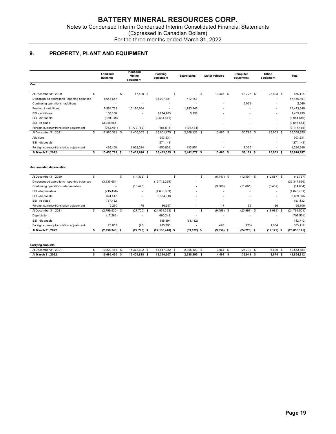# 9. PROPERTY, PLANT AND EQUIPMENT

|                                                            |                                        |                                           |                                         | (Expressed in Canadian Dollars) |                                     |                          |                                      |                          |
|------------------------------------------------------------|----------------------------------------|-------------------------------------------|-----------------------------------------|---------------------------------|-------------------------------------|--------------------------|--------------------------------------|--------------------------|
|                                                            |                                        | For the three months ended March 31, 2022 |                                         |                                 |                                     |                          |                                      |                          |
|                                                            |                                        |                                           |                                         |                                 |                                     |                          |                                      |                          |
| 9.<br>PROPERTY, PLANT AND EQUIPMENT                        |                                        |                                           |                                         |                                 |                                     |                          |                                      |                          |
|                                                            |                                        |                                           |                                         |                                 |                                     |                          |                                      |                          |
|                                                            |                                        |                                           |                                         |                                 |                                     |                          |                                      |                          |
|                                                            | Land and<br><b>Buildings</b>           | <b>Plant and</b><br>Mining                | Padding<br>equipment                    | Spare parts                     | <b>Motor vehicles</b>               | Computer<br>equipment    | Office<br>equipment                  | Total                    |
| Cost                                                       |                                        | equipment                                 |                                         |                                 |                                     |                          |                                      |                          |
|                                                            |                                        |                                           |                                         |                                 |                                     |                          |                                      |                          |
| At December 31, 2020<br>\$                                 | $-$ \$                                 | 47,420 \$                                 | $-$ \$                                  | $-$ \$                          | 13,465 \$                           | 48,727 \$                | 25,803 \$                            | 135,415                  |
| Discontinued operations - opening balances                 | 8,646,657                              | $\overline{\phantom{a}}$                  | 38,097,381                              | 712,153                         |                                     |                          | $\overline{\phantom{a}}$             | 47,456,191               |
| Continuing operations - additions                          |                                        | $\sim$                                    | $\overline{\phantom{a}}$                |                                 |                                     | 2,069                    | $\overline{\phantom{a}}$             | 2,069                    |
| Punitaqui - additions                                      | 8,563,739                              | 16,126,664                                | $\overline{\phantom{a}}$                | 1,783,246                       |                                     |                          | $\overline{\phantom{a}}$             | 26,473,649               |
| ESI - additions<br>ESI-disposals                           | 130,358<br>(369, 948)                  |                                           | 1,274,483<br>(3,584,871)                | 5,158                           |                                     |                          | $\overline{\phantom{a}}$             | 1,409,999<br>(3,954,819) |
| ESI-re-class                                               | (3,046,664)                            | $\overline{\phantom{a}}$                  | $\overline{\phantom{a}}$                | $\sim$                          |                                     |                          | $\overline{\phantom{a}}$             | (3,046,664)              |
| Foreign currency translation adjustment                    | (963, 751)                             | (1,773,782)                               | (185, 518)                              | (194, 434)                      |                                     |                          |                                      | (3, 117, 485)            |
| At December 31, 2021<br>\$                                 | 12,960,391<br>- \$                     | 14,400,302 \$                             | 35,601,475 \$                           | 2,306,123 \$                    | 13,465 \$                           | 50,796 \$                | 25,803<br>- \$                       | 65,358,355               |
| Additions                                                  |                                        |                                           | 603,531                                 |                                 |                                     |                          | $\overline{\phantom{a}}$             | 603,531                  |
| ESI-disposals                                              | $\overline{\phantom{a}}$               | $\overline{\phantom{a}}$                  | (271, 148)                              | $\overline{\phantom{a}}$        |                                     | $\overline{\phantom{a}}$ | $\overline{\phantom{a}}$             | (271, 148)               |
| Foreign currency translation adjustment                    | 495,408                                | 1,032,324                                 | (450, 803)                              | 135,954                         | $\overline{\phantom{a}}$            | 7,365                    | $\sim$                               | 1,220,249                |
| At March 31, 2022<br>s.                                    | 13,455,799 \$                          | 15,432,626 \$                             | 35,483,055 \$                           | 2.442.077 \$                    | 13,465 \$                           | 58,161 \$                | 25,803 \$                            | 66,910,987               |
|                                                            |                                        |                                           |                                         |                                 |                                     |                          |                                      |                          |
| <b>Accumulated depreciation</b>                            |                                        |                                           |                                         |                                 |                                     |                          |                                      |                          |
|                                                            |                                        |                                           |                                         |                                 |                                     |                          |                                      |                          |
| At December 31, 2020<br>\$                                 | $-$ \$                                 | $(14, 332)$ \$                            | $-$ \$                                  | $-$ \$                          | (6, 447)<br>-\$                     | $(12, 401)$ \$           | (12, 587)<br>-\$                     | (45, 767)                |
| Discontinued operations - opening balances                 | (3,635,601)                            | $\sim$                                    | (19,712,265)                            |                                 | $\overline{\phantom{a}}$            |                          | $\overline{\phantom{a}}$             | (23, 347, 866)           |
| Continuing operations - depreciation<br>ESI - depreciation | $\overline{\phantom{a}}$<br>(215, 458) | (13, 443)<br>$\overline{\phantom{a}}$     | $\overline{\phantom{a}}$<br>(4,663,303) |                                 | (3,068)<br>$\overline{\phantom{a}}$ | (11,661)                 | (6, 432)<br>$\overline{\phantom{a}}$ | (34, 604)<br>(4,878,761) |
| ESI - disposals                                            | 324,447                                | $\sim$                                    | 2,334,918                               | $\overline{\phantom{a}}$        | $\sim$                              | $\overline{\phantom{a}}$ | $\overline{\phantom{a}}$             | 2,659,365                |
| ESI-re-class                                               | 757,432                                | $\overline{\phantom{a}}$                  | $\overline{\phantom{a}}$                |                                 | $\overline{\phantom{a}}$            |                          | $\overline{\phantom{a}}$             | 757,432                  |
| Foreign currency translation adjustment                    | 9,250                                  | 75                                        | 86,257                                  | $\overline{\phantom{a}}$        | 17                                  | 65                       | 36                                   | 95,700                   |
| At December 31, 2021<br>\$                                 | $(2,759,930)$ \$                       | $(27,700)$ \$                             | $(21,954,393)$ \$                       | $-$ \$                          | $(9,498)$ \$                        | $(23,997)$ \$            | $(18,983)$ \$                        | (24, 794, 501)           |
| Depriciation                                               | (17, 263)                              | $\overline{\phantom{a}}$                  | (690, 242)                              | $\sim$                          | $\overline{\phantom{a}}$            |                          | $\overline{\phantom{a}}$             | (707, 504)               |
| ESI-disposals                                              | $\overline{\phantom{a}}$               | $\sim$                                    | 195,894                                 | (53, 182)                       | $\overline{\phantom{a}}$            | $\overline{\phantom{a}}$ | $\overline{\phantom{a}}$             | 142,712                  |
| Foreign currency translation adjustment                    | 20,853                                 | (98)                                      | 280,293                                 |                                 | 440                                 | (223)                    | 1,854                                | 303,119                  |
| At March 31, 2022<br>\$                                    | $(2,756,340)$ \$                       | $(27,798)$ \$                             | $(22, 168, 448)$ \$                     | $(53, 182)$ \$                  | $(9,058)$ \$                        | $(24, 220)$ \$           | $(17, 129)$ \$                       | (25,056,175)             |
|                                                            |                                        |                                           |                                         |                                 |                                     |                          |                                      |                          |
|                                                            |                                        |                                           |                                         |                                 |                                     |                          |                                      |                          |
| <b>Carrying amounts</b>                                    |                                        |                                           | 13,647,082 \$                           | 2,306,123 \$                    | 3,967 \$                            | 26,799 \$                | 6,820 \$                             | 40,563,854               |
| At December 31, 2021<br>$\mathfrak s$                      | 10,200,461 \$                          | 14,372,602 \$                             |                                         |                                 |                                     |                          |                                      |                          |

| At March 31, 2022    | 10.699.460 | 15.404.828 | 13.314.607 | 2.388.895 | 4,407 | 33,941 | 8.674 | 41.854.812 |
|----------------------|------------|------------|------------|-----------|-------|--------|-------|------------|
| At December 31, 2021 | 10.200.461 | 14.372.602 | 13.647.082 | 2,306,123 | 3,967 | 26,799 | 6,820 | 40,563,854 |
|                      |            |            |            |           |       |        |       |            |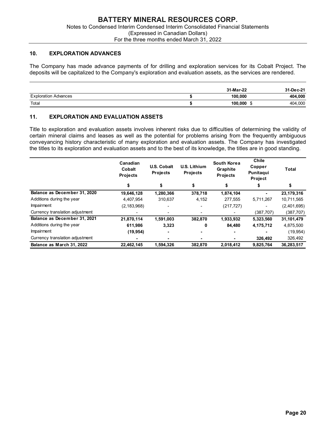#### 10. EXPLORATION ADVANCES

|                                                                                                                       | <b>BATTERY MINERAL RESOURCES CORP.</b>                                         |            |           |
|-----------------------------------------------------------------------------------------------------------------------|--------------------------------------------------------------------------------|------------|-----------|
|                                                                                                                       | Notes to Condensed Interim Condensed Interim Consolidated Financial Statements |            |           |
|                                                                                                                       | (Expressed in Canadian Dollars)<br>For the three months ended March 31, 2022   |            |           |
|                                                                                                                       |                                                                                |            |           |
| 10.<br><b>EXPLORATION ADVANCES</b>                                                                                    |                                                                                |            |           |
| The Company has made advance payments of for drilling and exploration services for its Cobalt Project. The            |                                                                                |            |           |
|                                                                                                                       |                                                                                |            |           |
|                                                                                                                       |                                                                                |            |           |
| deposits will be capitalized to the Company's exploration and evaluation assets, as the services are rendered.        |                                                                                |            |           |
|                                                                                                                       |                                                                                | 31-Mar-22  | 31-Dec-21 |
| <b>Exploration Advances</b>                                                                                           | \$                                                                             | 100,000    | 404,000   |
| Total                                                                                                                 | \$                                                                             | 100,000 \$ | 404,000   |
|                                                                                                                       |                                                                                |            |           |
| 11.                                                                                                                   |                                                                                |            |           |
| <b>EXPLORATION AND EVALUATION ASSETS</b>                                                                              |                                                                                |            |           |
| Title to exploration and evaluation assets involves inherent risks due to difficulties of determining the validity of |                                                                                |            |           |

# 11. EXPLORATION AND EVALUATION ASSETS

| deposits will be capitalized to the Company's exploration and evaluation assets, as the services are rendered.                                                                                                                        |                    |                                       |                                 |                         |                              |                       |
|---------------------------------------------------------------------------------------------------------------------------------------------------------------------------------------------------------------------------------------|--------------------|---------------------------------------|---------------------------------|-------------------------|------------------------------|-----------------------|
|                                                                                                                                                                                                                                       |                    |                                       |                                 | 31-Mar-22               |                              | 31-Dec-21             |
| <b>Exploration Advances</b>                                                                                                                                                                                                           |                    |                                       | \$                              | 100,000                 |                              | 404,000               |
| Total                                                                                                                                                                                                                                 |                    |                                       | \$                              | $100,000$ \$            |                              | 404,000               |
| 11.<br><b>EXPLORATION AND EVALUATION ASSETS</b>                                                                                                                                                                                       |                    |                                       |                                 |                         |                              |                       |
| conveyancing history characteristic of many exploration and evaluation assets. The Company has investigated<br>the titles to its exploration and evaluation assets and to the best of its knowledge, the titles are in good standing. |                    |                                       |                                 |                         |                              |                       |
|                                                                                                                                                                                                                                       | Canadian<br>Cobalt | <b>U.S. Cobalt</b><br><b>Projects</b> | <b>U.S. Lithium</b><br>Projects | South Korea<br>Graphite | Chile<br>Copper<br>Punitaqui | <b>Total</b>          |
|                                                                                                                                                                                                                                       | <b>Projects</b>    |                                       |                                 | Projects                | Project                      |                       |
|                                                                                                                                                                                                                                       | \$                 | \$                                    | \$                              | \$                      | \$                           | \$                    |
| Balance as December 31, 2020                                                                                                                                                                                                          | 19,646,128         | 1,280,366                             | 378,718                         | 1,874,104               | $\sim$                       | 23,179,316            |
| Additions during the year                                                                                                                                                                                                             | 4,407,954          | 310,637                               | 4,152                           | 277,555                 | 5,711,267                    | 10,711,565            |
| Impairment                                                                                                                                                                                                                            | (2, 183, 968)      |                                       | $\blacksquare$                  | (217, 727)              | $\sim$                       | (2,401,695)           |
| Currency translation adjustment                                                                                                                                                                                                       | $\sim$             |                                       | $\blacksquare$                  | $\sim$                  | (387, 707)                   | (387, 707)            |
| Balance as December 31, 2021                                                                                                                                                                                                          | 21,870,114         | 1,591,003                             | 382,870                         | 1,933,932               | 5,323,560                    | 31,101,479            |
| Additions during the year                                                                                                                                                                                                             | 611,986            | 3,323                                 | 0                               | 84,480                  | 4,175,712                    | 4,875,500             |
| Impairment                                                                                                                                                                                                                            | (19, 954)          |                                       |                                 | $\sim$                  | $\mathbf{r}$                 | (19, 954)             |
| Currency translation adjustment<br>Balance as March 31, 2022                                                                                                                                                                          | 22,462,145         | 1,594,326                             | 382,870                         | 2,018,412               | 326,492<br>9,825,764         | 326,492<br>36,283,517 |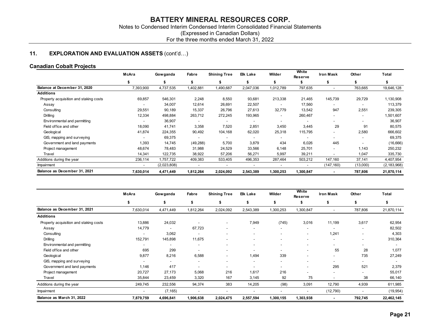# For the three months ended March 31, 2022

# 11. **EXPLORATION AND EVALUATION ASSETS** (cont'd...)

# Canadian Cobalt Projects

| <b>BATTERY MINERAL RESOURCES CORP.</b><br>Notes to Condensed Interim Condensed Interim Consolidated Financial Statements<br>(Expressed in Canadian Dollars)<br>For the three months ended March 31, 2022<br><b>EXPLORATION AND EVALUATION ASSETS (cont'd)</b> |                 |                          |                          |                                 |                 |                      |
|---------------------------------------------------------------------------------------------------------------------------------------------------------------------------------------------------------------------------------------------------------------|-----------------|--------------------------|--------------------------|---------------------------------|-----------------|----------------------|
|                                                                                                                                                                                                                                                               |                 |                          |                          |                                 |                 |                      |
|                                                                                                                                                                                                                                                               |                 |                          |                          |                                 |                 |                      |
|                                                                                                                                                                                                                                                               |                 |                          |                          |                                 |                 |                      |
|                                                                                                                                                                                                                                                               |                 |                          |                          |                                 |                 |                      |
|                                                                                                                                                                                                                                                               |                 |                          |                          |                                 |                 |                      |
|                                                                                                                                                                                                                                                               |                 |                          |                          |                                 |                 |                      |
|                                                                                                                                                                                                                                                               |                 |                          |                          |                                 |                 |                      |
|                                                                                                                                                                                                                                                               |                 |                          |                          |                                 |                 |                      |
|                                                                                                                                                                                                                                                               |                 |                          |                          |                                 |                 |                      |
|                                                                                                                                                                                                                                                               |                 |                          |                          |                                 |                 |                      |
|                                                                                                                                                                                                                                                               |                 |                          |                          |                                 |                 |                      |
| anadian Cobalt Projects                                                                                                                                                                                                                                       |                 |                          |                          |                                 |                 |                      |
|                                                                                                                                                                                                                                                               |                 |                          | White                    |                                 |                 |                      |
| McAra<br><b>Shining Tree</b><br>Gowganda<br>Fabre                                                                                                                                                                                                             | Elk Lake        | Wilder                   | <b>Reserve</b>           | <b>Iron Mask</b>                | Other           | Total                |
| \$<br>\$<br>\$<br>\$                                                                                                                                                                                                                                          | \$              | \$                       | \$                       | \$                              | - \$            | \$                   |
| Balance at December 31, 2020<br>7,393,900<br>4,737,535<br>1,402,881<br>1,490,687                                                                                                                                                                              | 2,047,036       | 1,012,789                | 797,635                  | $\sim$                          | 763,665         | 19,646,128           |
| <b>Additions</b>                                                                                                                                                                                                                                              |                 |                          |                          |                                 |                 |                      |
| 69,857<br>546,301<br>2,248<br>8,550<br>Property acquisition and staking costs                                                                                                                                                                                 | 93,681          | 213,338                  | 21,465                   | 145,739                         | 29,729          | 1,130,908            |
| 34,007<br>12,614<br>26,691<br>Assay<br>$\sim$                                                                                                                                                                                                                 | 22,507          | $\sim$                   | 17,560                   | $\sim$                          | $\sim$          | 113,379              |
| Consulting<br>29,551<br>90,189<br>15,337<br>26,796                                                                                                                                                                                                            | 27,613          | 32,779                   | 13,542                   | 947                             | 2,551           | 239,305              |
| 12,334<br>272,245<br>Drilling<br>498,884<br>263,712                                                                                                                                                                                                           | 193,965         | $\overline{a}$           | 260,467                  | $\sim$                          | $\sim$          | 1,501,607            |
| Environmental and permitting<br>36,907<br>$\sim$<br>$\sim$<br>$\sim$                                                                                                                                                                                          | $\sim$          | $\overline{\phantom{a}}$ | $\overline{\phantom{a}}$ | $\sim$                          | $\sim$          | 36,907               |
| Field office and other<br>41,741<br>3,358<br>7,520<br>18,090                                                                                                                                                                                                  | 2,851           | 3,450                    | 3,445                    | 29                              | 91              | 80,575               |
| 41,874<br>104,168<br>Geological<br>224,355<br>90,492                                                                                                                                                                                                          | 62,020          | 25,318                   | 115,795                  | $\sim$                          | 2,580           | 666,602              |
| GIS, mapping and surveying<br>69,375<br>$\sim$<br>$\sim$<br>$\sim$                                                                                                                                                                                            | $\sim$          | $\sim$                   | $\sim$                   | $\sim$                          | $\sim$          | 69,375               |
| Government and land payments<br>14,745<br>1,393<br>(49, 288)<br>5,700<br>48,674<br>78,483<br>24,529<br>Project management<br>31,988                                                                                                                           | 3,879<br>33,566 | 434<br>6,148             | 6,026<br>25,701          | 445<br>$\overline{\phantom{a}}$ | $\sim$<br>1,143 | (16, 666)<br>250,232 |
| 14,341<br>122,735<br>38,922<br>57,206<br>Travel                                                                                                                                                                                                               | 56,271          | 5,997                    | 39,211                   | $\overline{\phantom{a}}$        | 1,047           | 335,730              |
| Additions during the year<br>236,114<br>1,757,722<br>409,383<br>533,405                                                                                                                                                                                       | 496,353         | 287,464                  | 503,212                  | 147,160                         | 37,141          | 4,407,954            |
| (2,023,808)<br>Impairment<br>$\sim$<br>$\sim$<br>$\sim$                                                                                                                                                                                                       | $\sim$          | $\sim$                   | $\sim$                   | (147, 160)                      | (13,000)        | (2, 183, 968)        |
| Balance as December 31, 2021                                                                                                                                                                                                                                  |                 |                          |                          |                                 |                 |                      |
| 7,630,014<br>4,471,449<br>1,812,264<br>2,024,092                                                                                                                                                                                                              | 2,543,389       | 1,300,253                | 1,300,847                | $\sim$                          | 787,806         | 21,870,114           |

|                                                  | \$                       | \$          | \$                       | \$                       | \$                       | \$                       | \$                       | \$                       | \$                       | \$             |
|--------------------------------------------------|--------------------------|-------------|--------------------------|--------------------------|--------------------------|--------------------------|--------------------------|--------------------------|--------------------------|----------------|
| Balance at December 31, 2020                     | 7,393,900                | 4,737,535   | 1,402,881                | 1,490,687                | 2,047,036                | 1,012,789                | 797,635                  | $\blacksquare$           | 763,665                  | 19,646,128     |
| <b>Additions</b>                                 |                          |             |                          |                          |                          |                          |                          |                          |                          |                |
| Property acquisition and staking costs           | 69,857                   | 546,301     | 2,248                    | 8,550                    | 93,681                   | 213,338                  | 21,465                   | 145,739                  | 29,729                   | 1,130,908      |
| Assay                                            | $\sim$                   | 34,007      | 12,614                   | 26,691                   | 22,507                   | $\sim$                   | 17,560                   | $\blacksquare$           | $\blacksquare$           | 113,379        |
| Consulting                                       | 29,551                   | 90,189      | 15,337                   | 26,796                   | 27,613                   | 32,779                   | 13,542                   | 947                      | 2,551                    | 239,305        |
| <b>Drilling</b>                                  | 12,334                   | 498,884     | 263,712                  | 272,245                  | 193,965                  | $\sim$                   | 260,467                  | $\blacksquare$           | $\blacksquare$           | 1,501,607      |
| Environmental and permitting                     | $\blacksquare$           | 36,907      | $\blacksquare$           | $\overline{\phantom{a}}$ | $\overline{\phantom{a}}$ | $\overline{\phantom{a}}$ | $\overline{\phantom{a}}$ | $\overline{\phantom{a}}$ | $\overline{\phantom{a}}$ | 36,907         |
| Field office and other                           | 18,090                   | 41,741      | 3,358                    | 7,520                    | 2,851                    | 3,450                    | 3,445                    | 29                       | 91                       | 80,575         |
| Geological                                       | 41,874                   | 224,355     | 90,492                   | 104,168                  | 62,020                   | 25,318                   | 115,795                  | $\overline{\phantom{a}}$ | 2,580                    | 666,602        |
| GIS, mapping and surveying                       | $\sim$                   | 69,375      | $\overline{\phantom{a}}$ | $\sim$                   | $\overline{\phantom{a}}$ | $\sim$                   | $\sim$                   | $\overline{\phantom{a}}$ | $\blacksquare$           | 69,375         |
| Government and land payments                     | 1,393                    | 14,745      | (49, 288)                | 5,700                    | 3,879                    | 434                      | 6,026                    | 445                      | $\sim$                   | (16, 666)      |
| Project management                               | 48,674                   | 78,483      | 31,988                   | 24,529                   | 33,566                   | 6,148                    | 25,701                   | $\blacksquare$           | 1,143                    | 250,232        |
| Travel                                           | 14,341                   | 122,735     | 38,922                   | 57,206                   | 56,271                   | 5,997                    | 39,211                   | $\overline{a}$           | 1,047                    | 335,730        |
| Additions during the year                        | 236,114                  | 1,757,722   | 409,383                  | 533,405                  | 496,353                  | 287,464                  | 503,212                  | 147,160                  | 37,141                   | 4,407,954      |
| Impairment                                       | $\sim$                   | (2,023,808) | $\sim$                   | $\sim$                   | $\overline{\phantom{a}}$ | $\overline{\phantom{a}}$ | $\sim$                   | (147, 160)               | (13,000)                 | (2, 183, 968)  |
| Balance as December 31, 2021                     | 7,630,014                | 4,471,449   | 1,812,264                | 2,024,092                | 2,543,389                | 1,300,253                | 1,300,847                | $\sim$                   | 787,806                  | 21,870,114     |
|                                                  | McAra                    | Gowganda    | Fabre                    | <b>Shining Tree</b>      | <b>Elk Lake</b>          | Wilder                   | White<br><b>Reserve</b>  | <b>Iron Mask</b>         | Other                    | <b>Total</b>   |
|                                                  |                          |             |                          |                          |                          |                          |                          |                          |                          |                |
|                                                  | \$                       | \$          | \$                       | \$                       | \$                       | \$                       | \$                       | \$                       | \$                       | \$             |
|                                                  | 7,630,014                | 4,471,449   | 1,812,264                | 2,024,092                | 2,543,389                | 1,300,253                | 1,300,847                | $\sim$                   | 787,806                  |                |
| Balance as December 31, 2021<br><b>Additions</b> |                          |             |                          |                          |                          |                          |                          |                          |                          | 21,870,114     |
| Property acquisition and staking costs           | 13,886                   | 24,032      | $\sim$                   |                          | 7,949                    | (745)                    | 3,016                    | 11,199                   | 3,617                    | 62,954         |
| Assay                                            | 14,779                   | $\sim$      | 67,723                   |                          |                          | $\sim$                   | $\overline{\phantom{a}}$ | $\overline{a}$           | $\blacksquare$           | 82,502         |
| Consulting                                       | $\overline{a}$           | 3,062       | $\overline{a}$           |                          |                          |                          | $\blacksquare$           | 1,241                    | $\overline{\phantom{a}}$ |                |
| Drilling                                         | 152,791                  | 145,898     | 11,675                   |                          |                          |                          | $\blacksquare$           | $\blacksquare$           | $\overline{\phantom{a}}$ | 310,364        |
| Environmental and permitting                     | $\overline{\phantom{a}}$ | $\sim$      | $\overline{\phantom{a}}$ |                          |                          |                          |                          |                          | $\overline{\phantom{a}}$ | $\blacksquare$ |
| Field office and other                           | 695                      | 299         | $\overline{\phantom{a}}$ |                          |                          |                          |                          | 55                       | 28                       | 1,077          |
| Geological                                       | 9,877                    | 8,216       | 6,588                    |                          | 1,494                    | 339                      |                          | $\overline{\phantom{a}}$ | 735                      | 27,249         |
| GIS, mapping and surveying                       | $\sim$                   | $\sim$      | $\overline{\phantom{a}}$ |                          | $\overline{\phantom{a}}$ |                          |                          | $\overline{a}$           | $\overline{\phantom{a}}$ | 4,303          |
| Government and land payments                     | 1,146                    | 417         | $\overline{\phantom{a}}$ |                          | $\overline{\phantom{a}}$ | $\overline{a}$           |                          | 295                      | 521                      | 2,379          |
| Project management                               | 20,727                   | 27,173      | 5,068                    | 216                      | 1,617                    | 216                      | $\overline{\phantom{a}}$ | $\blacksquare$           | $\overline{\phantom{a}}$ | 55,017         |
| Travel                                           | 35,844                   | 23,459      | 3,320                    | 167                      | 3,145                    | 92                       | 75                       | $\sim$                   | 38                       | 66,140         |
| Additions during the year                        | 249,745                  | 232,556     | 94,374                   | 383                      | 14,205                   | (98)                     | 3,091                    | 12,790                   | 4,939                    | 611,985        |
| Impairment                                       | $\overline{\phantom{a}}$ | (7, 165)    | $\overline{\phantom{a}}$ | $\overline{\phantom{a}}$ | $\overline{\phantom{a}}$ | $\overline{\phantom{a}}$ | $\overline{\phantom{a}}$ | (12,790)                 | $\overline{\phantom{a}}$ | (19, 954)      |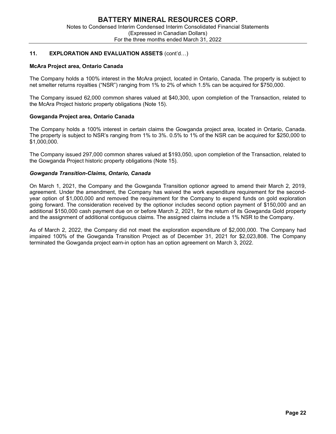#### McAra Project area, Ontario Canada

The Company holds a 100% interest in the McAra project, located in Ontario, Canada. The property is subject to net smelter returns royalties ("NSR") ranging from 1% to 2% of which 1.5% can be acquired for \$750,000.

The Company issued 62,000 common shares valued at \$40,300, upon completion of the Transaction, related to the McAra Project historic property obligations (Note 15).

#### Gowganda Project area, Ontario Canada

The Company holds a 100% interest in certain claims the Gowganda project area, located in Ontario, Canada. The property is subject to NSR's ranging from 1% to 3%. 0.5% to 1% of the NSR can be acquired for \$250,000 to \$1,000,000.

The Company issued 297,000 common shares valued at \$193,050, upon completion of the Transaction, related to the Gowganda Project historic property obligations (Note 15).

#### Gowganda Transition-Claims, Ontario, Canada

On March 1, 2021, the Company and the Gowganda Transition optionor agreed to amend their March 2, 2019, agreement. Under the amendment, the Company has waived the work expenditure requirement for the secondyear option of \$1,000,000 and removed the requirement for the Company to expend funds on gold exploration going forward. The consideration received by the optionor includes second option payment of \$150,000 and an additional \$150,000 cash payment due on or before March 2, 2021, for the return of its Gowganda Gold property and the assignment of additional contiguous claims. The assigned claims include a 1% NSR to the Company.

As of March 2, 2022, the Company did not meet the exploration expenditure of \$2,000,000. The Company had impaired 100% of the Gowganda Transition Project as of December 31, 2021 for \$2,023,808. The Company terminated the Gowganda project earn-in option has an option agreement on March 3, 2022.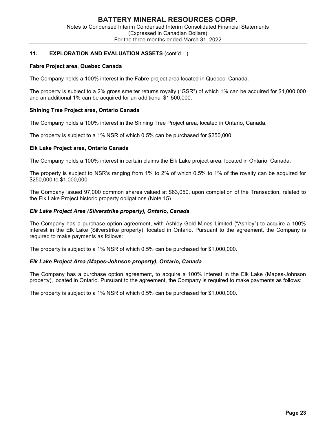#### Fabre Project area, Quebec Canada

The Company holds a 100% interest in the Fabre project area located in Quebec, Canada.

The property is subject to a 2% gross smelter returns royalty ("GSR") of which 1% can be acquired for \$1,000,000 and an additional 1% can be acquired for an additional \$1,500,000.

#### Shining Tree Project area, Ontario Canada

The Company holds a 100% interest in the Shining Tree Project area, located in Ontario, Canada.

The property is subject to a 1% NSR of which 0.5% can be purchased for \$250,000.

#### Elk Lake Project area, Ontario Canada

The Company holds a 100% interest in certain claims the Elk Lake project area, located in Ontario, Canada.

The property is subject to NSR's ranging from 1% to 2% of which 0.5% to 1% of the royalty can be acquired for \$250,000 to \$1,000,000.

The Company issued 97,000 common shares valued at \$63,050, upon completion of the Transaction, related to the Elk Lake Project historic property obligations (Note 15).

#### Elk Lake Project Area (Silverstrike property), Ontario, Canada

The Company has a purchase option agreement, with Ashley Gold Mines Limited ("Ashley") to acquire a 100% interest in the Elk Lake (Silverstrike property), located in Ontario. Pursuant to the agreement, the Company is required to make payments as follows:

The property is subject to a 1% NSR of which 0.5% can be purchased for \$1,000,000.

#### Elk Lake Project Area (Mapes-Johnson property), Ontario, Canada

The Company has a purchase option agreement, to acquire a 100% interest in the Elk Lake (Mapes-Johnson property), located in Ontario. Pursuant to the agreement, the Company is required to make payments as follows:

The property is subject to a 1% NSR of which 0.5% can be purchased for \$1,000,000.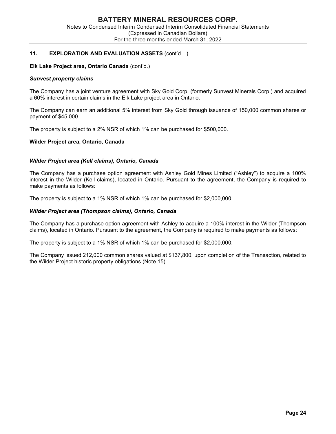#### Elk Lake Project area, Ontario Canada (cont'd.)

#### Sunvest property claims

The Company has a joint venture agreement with Sky Gold Corp. (formerly Sunvest Minerals Corp.) and acquired a 60% interest in certain claims in the Elk Lake project area in Ontario.

The Company can earn an additional 5% interest from Sky Gold through issuance of 150,000 common shares or payment of \$45,000.

The property is subject to a 2% NSR of which 1% can be purchased for \$500,000.

#### Wilder Project area, Ontario, Canada

#### Wilder Project area (Kell claims), Ontario, Canada

The Company has a purchase option agreement with Ashley Gold Mines Limited ("Ashley") to acquire a 100% interest in the Wilder (Kell claims), located in Ontario. Pursuant to the agreement, the Company is required to make payments as follows:

The property is subject to a 1% NSR of which 1% can be purchased for \$2,000,000.

#### Wilder Project area (Thompson claims), Ontario, Canada

The Company has a purchase option agreement with Ashley to acquire a 100% interest in the Wilder (Thompson claims), located in Ontario. Pursuant to the agreement, the Company is required to make payments as follows:

The property is subject to a 1% NSR of which 1% can be purchased for \$2,000,000.

The Company issued 212,000 common shares valued at \$137,800, upon completion of the Transaction, related to the Wilder Project historic property obligations (Note 15).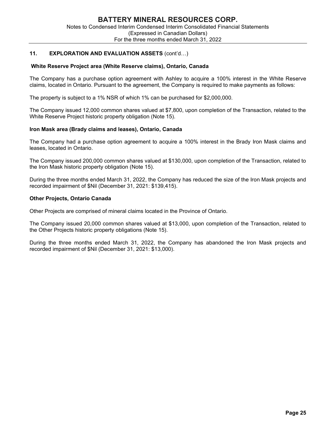#### White Reserve Project area (White Reserve claims), Ontario, Canada

The Company has a purchase option agreement with Ashley to acquire a 100% interest in the White Reserve claims, located in Ontario. Pursuant to the agreement, the Company is required to make payments as follows:

The property is subject to a 1% NSR of which 1% can be purchased for \$2,000,000.

The Company issued 12,000 common shares valued at \$7,800, upon completion of the Transaction, related to the White Reserve Project historic property obligation (Note 15).

#### Iron Mask area (Brady claims and leases), Ontario, Canada

The Company had a purchase option agreement to acquire a 100% interest in the Brady Iron Mask claims and leases, located in Ontario.

The Company issued 200,000 common shares valued at \$130,000, upon completion of the Transaction, related to the Iron Mask historic property obligation (Note 15).

During the three months ended March 31, 2022, the Company has reduced the size of the Iron Mask projects and recorded impairment of \$Nil (December 31, 2021: \$139,415).

#### Other Projects, Ontario Canada

Other Projects are comprised of mineral claims located in the Province of Ontario.

The Company issued 20,000 common shares valued at \$13,000, upon completion of the Transaction, related to the Other Projects historic property obligations (Note 15).

During the three months ended March 31, 2022, the Company has abandoned the Iron Mask projects and recorded impairment of \$Nil (December 31, 2021: \$13,000).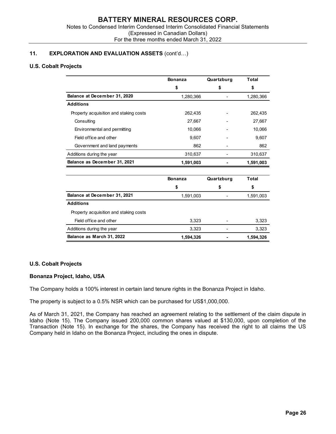#### U.S. Cobalt Projects

| <b>BATTERY MINERAL RESOURCES CORP.</b><br>Notes to Condensed Interim Condensed Interim Consolidated Financial Statements |                                           |                          |              |
|--------------------------------------------------------------------------------------------------------------------------|-------------------------------------------|--------------------------|--------------|
|                                                                                                                          |                                           |                          |              |
|                                                                                                                          |                                           |                          |              |
|                                                                                                                          |                                           |                          |              |
|                                                                                                                          |                                           |                          |              |
|                                                                                                                          |                                           |                          |              |
|                                                                                                                          | (Expressed in Canadian Dollars)           |                          |              |
|                                                                                                                          | For the three months ended March 31, 2022 |                          |              |
|                                                                                                                          |                                           |                          |              |
| <b>DRATION AND EVALUATION ASSETS (cont'd)</b>                                                                            |                                           |                          |              |
| rojects                                                                                                                  |                                           |                          |              |
|                                                                                                                          |                                           |                          |              |
|                                                                                                                          | <b>Bonanza</b>                            | Quartzburg               | <b>Total</b> |
|                                                                                                                          | \$                                        | \$                       | \$           |
| Balance at December 31, 2020                                                                                             | 1,280,366                                 | $\overline{a}$           | 1,280,366    |
| <b>Additions</b>                                                                                                         |                                           |                          |              |
| Property acquisition and staking costs                                                                                   | 262,435                                   |                          | 262,435      |
| Consulting                                                                                                               | 27,667                                    |                          | 27,667       |
| Environmental and permitting                                                                                             | 10,066                                    |                          | 10,066       |
| Field office and other                                                                                                   | 9,607                                     |                          | 9,607        |
| Government and land payments                                                                                             | 862                                       | $\overline{\phantom{a}}$ | 862          |
| Additions during the year                                                                                                | 310,637                                   | $\overline{\phantom{a}}$ | 310,637      |
| Balance as December 31, 2021                                                                                             | 1,591,003                                 |                          | 1,591,003    |
|                                                                                                                          |                                           |                          |              |
|                                                                                                                          | <b>Bonanza</b>                            | Quartzburg               | <b>Total</b> |
|                                                                                                                          | \$                                        | \$                       | \$           |
| Balance at December 31, 2021                                                                                             | 1,591,003                                 | $\overline{\phantom{a}}$ | 1,591,003    |
| <b>Additions</b>                                                                                                         |                                           |                          |              |
| Property acquisition and staking costs                                                                                   |                                           |                          |              |
| Field office and other                                                                                                   | 3,323                                     | $\overline{\phantom{a}}$ | 3,323        |
| Additions during the year                                                                                                | 3,323                                     | $\frac{1}{2}$            | 3,323        |
|                                                                                                                          |                                           |                          |              |

|                                        | <b>Bonanza</b> | Quartzburg | Total     |  |
|----------------------------------------|----------------|------------|-----------|--|
|                                        | \$             | S          | S         |  |
| Balance at December 31, 2021           | 1,591,003      |            | 1,591,003 |  |
| <b>Additions</b>                       |                |            |           |  |
| Property acquisition and staking costs |                |            |           |  |
| Field office and other                 | 3.323          |            | 3,323     |  |
| Additions during the year              | 3,323          |            | 3,323     |  |
| Balance as March 31, 2022              | 1,594,326      | ٠          | 1,594,326 |  |

# U.S. Cobalt Projects

#### Bonanza Project, Idaho, USA

The Company holds a 100% interest in certain land tenure rights in the Bonanza Project in Idaho.

The property is subject to a 0.5% NSR which can be purchased for US\$1,000,000.

As of March 31, 2021, the Company has reached an agreement relating to the settlement of the claim dispute in Idaho (Note 15). The Company issued 200,000 common shares valued at \$130,000, upon completion of the Transaction (Note 15). In exchange for the shares, the Company has received the right to all claims the US Company held in Idaho on the Bonanza Project, including the ones in dispute.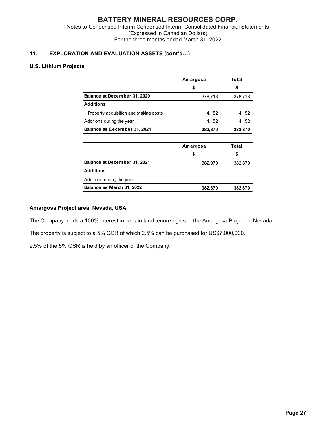# U.S. Lithium Projects

| <b>BATTERY MINERAL RESOURCES CORP.</b><br>(Expressed in Canadian Dollars)<br>For the three months ended March 31, 2022 |          |              |
|------------------------------------------------------------------------------------------------------------------------|----------|--------------|
| to Condensed Interim Condensed Interim Consolidated Financial Statements                                               |          |              |
|                                                                                                                        |          |              |
|                                                                                                                        |          |              |
|                                                                                                                        |          |              |
| S                                                                                                                      | Amargosa | <b>Total</b> |
|                                                                                                                        | \$       | \$           |
| Balance at December 31, 2020                                                                                           | 378,718  | 378,718      |
| <b>Additions</b>                                                                                                       |          |              |
| Property acquisition and staking costs                                                                                 | 4,152    | 4,152        |
| Additions during the year                                                                                              | 4,152    | 4,152        |
| Balance as December 31, 2021                                                                                           | 382,870  | 382,870      |
|                                                                                                                        | Amargosa | <b>Total</b> |
|                                                                                                                        | \$       | \$           |
|                                                                                                                        |          | 382,870      |
| Balance at December 31, 2021                                                                                           | 382,870  |              |
| <b>Additions</b>                                                                                                       |          |              |
| Additions during the year                                                                                              |          |              |

# Amargosa Project area, Nevada, USA

The Company holds a 100% interest in certain land tenure rights in the Amargosa Project in Nevada.

The property is subject to a 5% GSR of which 2.5% can be purchased for US\$7,000,000.

2.5% of the 5% GSR is held by an officer of the Company.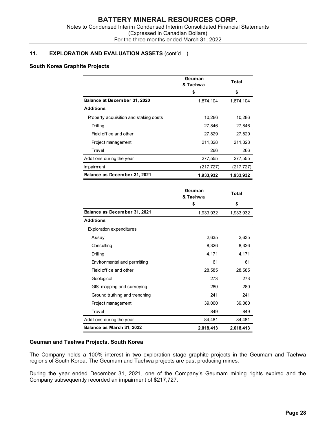#### South Korea Graphite Projects

| <b>BATTERY MINERAL RESOURCES CORP.</b>                                       |            |              |
|------------------------------------------------------------------------------|------------|--------------|
| to Condensed Interim Condensed Interim Consolidated Financial Statements     |            |              |
| (Expressed in Canadian Dollars)<br>For the three months ended March 31, 2022 |            |              |
|                                                                              |            |              |
| ON AND EVALUATION ASSETS (cont'd)                                            |            |              |
| te Projects                                                                  |            |              |
|                                                                              | Geuman     |              |
|                                                                              | & Taehwa   | <b>Total</b> |
|                                                                              | \$         | \$           |
| Balance at December 31, 2020                                                 | 1,874,104  | 1,874,104    |
| <b>Additions</b>                                                             |            |              |
| Property acquisition and staking costs                                       | 10,286     | 10,286       |
| Drilling                                                                     | 27,846     | 27,846       |
| Field office and other                                                       | 27,829     | 27,829       |
| Project management                                                           | 211,328    | 211,328      |
| Travel                                                                       | 266        | 266          |
| Additions during the year                                                    | 277,555    | 277,555      |
| Impairment                                                                   | (217, 727) | (217, 727)   |
| Balance as December 31, 2021                                                 | 1,933,932  | 1,933,932    |
|                                                                              | Geuman     | <b>Total</b> |
|                                                                              | & Taehwa   |              |
|                                                                              | \$         | \$           |
| Balance as December 31, 2021                                                 | 1,933,932  | 1,933,932    |
| <b>Additions</b>                                                             |            |              |
| Exploration expenditures                                                     |            |              |
|                                                                              | 2,635      |              |

| Balance at December 31, 2020           | 1,874,104          | 1,874,104    |
|----------------------------------------|--------------------|--------------|
| <b>Additions</b>                       |                    |              |
| Property acquisition and staking costs | 10,286             | 10,286       |
| Drilling                               | 27,846             | 27,846       |
| Field office and other                 | 27,829             | 27,829       |
| Project management                     | 211,328            | 211,328      |
| Travel                                 | 266                | 266          |
| Additions during the year              | 277,555            | 277,555      |
| Impairment                             | (217, 727)         | (217, 727)   |
| Balance as December 31, 2021           | 1,933,932          | 1,933,932    |
|                                        | Geuman<br>& Taehwa | <b>Total</b> |
|                                        | \$                 | \$           |
| Balance as December 31, 2021           | 1,933,932          | 1,933,932    |
| <b>Additions</b>                       |                    |              |
| <b>Exploration expenditures</b>        |                    |              |
| Assay                                  | 2,635              | 2,635        |
| Consulting                             | 8,326              | 8,326        |
| Drilling                               | 4,171              | 4,171        |
| Environmental and permitting           | 61                 | 61           |
| Field office and other                 | 28,585             | 28,585       |
| Geological                             | 273                | 273          |
| GIS, mapping and surveying             | 280                | 280          |
| Ground truthing and trenching          | 241                | 241          |
| Project management                     | 39,060             | 39,060       |
| Travel                                 | 849                | 849          |
| Additions during the year              | 84,481             | 84,481       |
| Balance as March 31, 2022              | 2,018,413          | 2,018,413    |

#### Geuman and Taehwa Projects, South Korea

The Company holds a 100% interest in two exploration stage graphite projects in the Geumam and Taehwa regions of South Korea. The Geumam and Taehwa projects are past producing mines.

During the year ended December 31, 2021, one of the Company's Geumam mining rights expired and the Company subsequently recorded an impairment of \$217,727.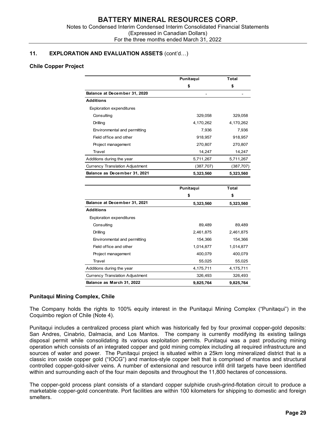#### Chile Copper Project

| to Condensed Interim Condensed Interim Consolidated Financial Statements<br>For the three months ended March 31, 2022 | (Expressed in Canadian Dollars) |              |
|-----------------------------------------------------------------------------------------------------------------------|---------------------------------|--------------|
|                                                                                                                       |                                 |              |
|                                                                                                                       |                                 |              |
|                                                                                                                       |                                 |              |
| <b>ON AND EVALUATION ASSETS (cont'd)</b>                                                                              |                                 |              |
|                                                                                                                       |                                 |              |
|                                                                                                                       |                                 |              |
|                                                                                                                       | Punitaqui                       | <b>Total</b> |
|                                                                                                                       | \$                              | \$           |
| Balance at December 31, 2020                                                                                          |                                 |              |
| <b>Additions</b>                                                                                                      |                                 |              |
| <b>Exploration expenditures</b>                                                                                       |                                 |              |
| Consulting                                                                                                            | 329,058                         | 329,058      |
| Drilling                                                                                                              | 4,170,262                       | 4,170,262    |
| Environmental and permitting                                                                                          | 7,936                           | 7,936        |
| Field office and other                                                                                                | 918,957                         | 918,957      |
| Project management                                                                                                    | 270,807                         | 270,807      |
| Travel                                                                                                                | 14,247                          | 14,247       |
| Additions during the year                                                                                             | 5,711,267                       | 5,711,267    |
| <b>Currency Translation Adjustment</b>                                                                                | (387, 707)                      | (387, 707)   |
| Balance as December 31, 2021                                                                                          | 5,323,560                       | 5,323,560    |
|                                                                                                                       |                                 |              |
|                                                                                                                       | Punitaqui                       | Total        |
|                                                                                                                       | \$                              | \$           |
| Balance at December 31, 2021                                                                                          | 5,323,560                       | 5,323,560    |
| <b>Additions</b>                                                                                                      |                                 |              |
| <b>Exploration expenditures</b>                                                                                       |                                 |              |
| Consulting                                                                                                            | 89,489                          | 89,489       |
| Drilling                                                                                                              | 2,461,875                       | 2,461,875    |
| Environmental and permitting                                                                                          | 154,366                         | 154,366      |
| Field office and other                                                                                                | 1,014,877                       | 1,014,877    |
| Project management                                                                                                    | 400,079                         | 400,079      |
| Travel                                                                                                                | 55,025                          | 55,025       |
| Additions during the year                                                                                             | 4,175,711                       | 4,175,711    |
| <b>Currency Translation Adjustment</b>                                                                                | 326,493                         | 326,493      |
| Balance as March 31, 2022                                                                                             | 9,825,764                       | 9,825,764    |

#### Punitaqui Mining Complex, Chile

The Company holds the rights to 100% equity interest in the Punitaqui Mining Complex ("Punitaqui") in the Coquimbo region of Chile (Note 4).

Punitaqui includes a centralized process plant which was historically fed by four proximal copper-gold deposits: San Andres, Cinabrio, Dalmacia, and Los Mantos. The company is currently modifying its existing tailings disposal permit while consolidating its various exploitation permits. Punitaqui was a past producing mining operation which consists of an integrated copper and gold mining complex including all required infrastructure and sources of water and power. The Punitaqui project is situated within a 25km long mineralized district that is a classic iron oxide copper gold ("IOCG") and mantos-style copper belt that is comprised of mantos and structural controlled copper-gold-silver veins. A number of extensional and resource infill drill targets have been identified within and surrounding each of the four main deposits and throughout the 11,800 hectares of concessions.

The copper-gold process plant consists of a standard copper sulphide crush-grind-flotation circuit to produce a marketable copper-gold concentrate. Port facilities are within 100 kilometers for shipping to domestic and foreign smelters.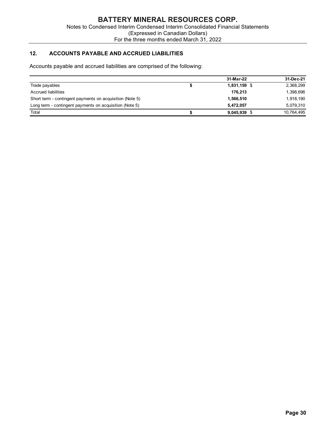# 12. ACCOUNTS PAYABLE AND ACCRUED LIABILITIES

| <b>BATTERY MINERAL RESOURCES CORP.</b>                                         |                                 |           |  |  |  |  |  |
|--------------------------------------------------------------------------------|---------------------------------|-----------|--|--|--|--|--|
| Notes to Condensed Interim Condensed Interim Consolidated Financial Statements |                                 |           |  |  |  |  |  |
|                                                                                |                                 |           |  |  |  |  |  |
| For the three months ended March 31, 2022                                      | (Expressed in Canadian Dollars) |           |  |  |  |  |  |
|                                                                                |                                 |           |  |  |  |  |  |
|                                                                                |                                 |           |  |  |  |  |  |
| 12.<br><b>ACCOUNTS PAYABLE AND ACCRUED LIABILITIES</b>                         |                                 |           |  |  |  |  |  |
|                                                                                |                                 |           |  |  |  |  |  |
| Accounts payable and accrued liabilities are comprised of the following:       |                                 |           |  |  |  |  |  |
|                                                                                | 31-Mar-22                       | 31-Dec-21 |  |  |  |  |  |
| Trade payables                                                                 | \$<br>1,831,159 \$              | 2,368,299 |  |  |  |  |  |
| <b>Accrued liabilities</b>                                                     | 176,213                         | 1,398,696 |  |  |  |  |  |
| Short term - contingent payments on acquisition (Note 5)                       | 1,566,510                       | 1,918,190 |  |  |  |  |  |
| Long term - contingent payments on acquisition (Note 5)                        | 5,472,057                       | 5,079,310 |  |  |  |  |  |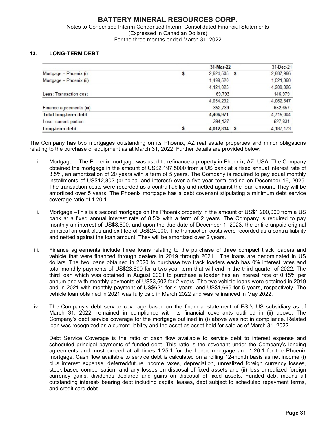#### 13. LONG-TERM DEBT

|                             | 31-Mar-22      | 31-Dec-21   |
|-----------------------------|----------------|-------------|
| Mortgage - Phoenix (i)      | $2,624,505$ \$ | 2,687,966   |
| Mortgage - Phoenix (ii)     | 1,499,520      | 1,521,360   |
|                             | 4.124.025      | 4,209,326   |
| Less: Transaction cost      | 69.793         | 146,979     |
|                             | 4.054.232      | 4,062,347   |
| Finance agreements (iii)    | 352,739        | 652.657     |
| <b>Total long-term debt</b> | 4,406,971      | 4.715.004   |
| Less: current portion       | 394.137        | 527,831     |
| Long-term debt              | $4,012,834$ \$ | 4, 187, 173 |

The Company has two mortgages outstanding on its Phoenix, AZ real estate properties and minor obligations relating to the purchase of equipment as at March 31, 2022. Further details are provided below:

- i. Mortgage The Phoenix mortgage was used to refinance a property in Phoenix, AZ, USA. The Company obtained the mortgage in the amount of US\$2,197,5000 from a US bank at a fixed annual interest rate of 3.5%, an amortization of 20 years with a term of 5 years. The Company is required to pay equal monthly installments of US\$12,802 (principal and interest) over a five-year term ending on December 16, 2025. The transaction costs were recorded as a contra liability and netted against the loan amount. They will be amortized over 5 years. The Phoenix mortgage has a debt covenant stipulating a minimum debt service coverage ratio of 1.20:1.
- ii. Mortgage –This is a second mortgage on the Phoenix property in the amount of US\$1,200,000 from a US bank at a fixed annual interest rate of 8.5% with a term of 2 years. The Company is required to pay monthly an interest of US\$8,500, and upon the due date of December 1, 2023, the entire unpaid original principal amount plus and exit fee of US\$24,000. The transaction costs were recorded as a contra liability and netted against the loan amount. They will be amortized over 2 years.
- iii. Finance agreements include three loans relating to the purchase of three compact track loaders and vehicle that were financed through dealers in 2019 through 2021. The loans are denominated in US dollars. The two loans obtained in 2020 to purchase two track loaders each has 0% interest rates and total monthly payments of US\$23,600 for a two-year term that will end in the third quarter of 2022. The third loan which was obtained in August 2021 to purchase a loader has an interest rate of 0.15% per annum and with monthly payments of US\$3,602 for 2 years. The two vehicle loans were obtained in 2019 and in 2021 with monthly payment of US\$621 for 4 years, and US\$1,665 for 5 years, respectively. The vehicle loan obtained in 2021 was fully paid in March 2022 and was refinanced in May 2022.
- iv. The Company's debt service coverage based on the financial statement of ESI's US subsidiary as of March 31, 2022, remained in compliance with its financial covenants outlined in (ii) above. The Company's debt service coverage for the mortgage outlined in (i) above was not in compliance. Related loan was recognized as a current liability and the asset as asset held for sale as of March 31, 2022.

Debt Service Coverage is the ratio of cash flow available to service debt to interest expense and scheduled principal payments of funded debt. This ratio is the covenant under the Company's lending agreements and must exceed at all times 1.25:1 for the Leduc mortgage and 1.20:1 for the Phoenix mortgage. Cash flow available to service debt is calculated on a rolling 12-month basis as net income (i) plus interest expense, deferred/future income taxes, depreciation, unrealized foreign currency losses, stock-based compensation, and any losses on disposal of fixed assets and (ii) less unrealized foreign currency gains, dividends declared and gains on disposal of fixed assets. Funded debt means all outstanding interest- bearing debt including capital leases, debt subject to scheduled repayment terms, and credit card debt.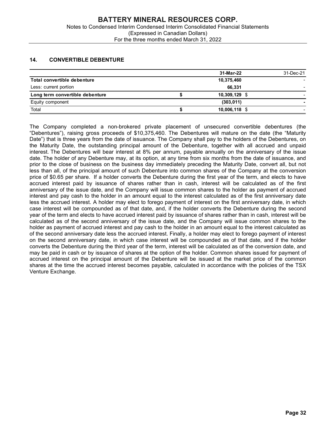# 14. CONVERTIBLE DEBENTURE

|                                    | <b>BATTERY MINERAL RESOURCES CORP.</b>                                         |           |
|------------------------------------|--------------------------------------------------------------------------------|-----------|
|                                    |                                                                                |           |
|                                    |                                                                                |           |
|                                    | Notes to Condensed Interim Condensed Interim Consolidated Financial Statements |           |
|                                    | (Expressed in Canadian Dollars)<br>For the three months ended March 31, 2022   |           |
|                                    |                                                                                |           |
|                                    |                                                                                |           |
| <b>CONVERTIBLE DEBENTURE</b>       |                                                                                |           |
| 14.                                | 31-Mar-22                                                                      | 31-Dec-21 |
| <b>Total convertible debenture</b> | 10,375,460                                                                     |           |
| Less: current portion              | 66,331                                                                         |           |
| Long term convertible debenture    | \$<br>10,309,129 \$                                                            |           |
| Equity component                   | (303, 011)                                                                     |           |

The Company completed a non-brokered private placement of unsecured convertible debentures (the "Debentures"), raising gross proceeds of \$10,375,460. The Debentures will mature on the date (the "Maturity Date") that is three years from the date of issuance. The Company shall pay to the holders of the Debentures, on the Maturity Date, the outstanding principal amount of the Debenture, together with all accrued and unpaid interest. The Debentures will bear interest at 8% per annum, payable annually on the anniversary of the issue date. The holder of any Debenture may, at its option, at any time from six months from the date of issuance, and prior to the close of business on the business day immediately preceding the Maturity Date, convert all, but not less than all, of the principal amount of such Debenture into common shares of the Company at the conversion price of \$0.65 per share. If a holder converts the Debenture during the first year of the term, and elects to have accrued interest paid by issuance of shares rather than in cash, interest will be calculated as of the first anniversary of the issue date, and the Company will issue common shares to the holder as payment of accrued interest and pay cash to the holder in an amount equal to the interest calculated as of the first anniversary date less the accrued interest. A holder may elect to forego payment of interest on the first anniversary date, in which case interest will be compounded as of that date, and, if the holder converts the Debenture during the second year of the term and elects to have accrued interest paid by issuance of shares rather than in cash, interest will be calculated as of the second anniversary of the issue date, and the Company will issue common shares to the holder as payment of accrued interest and pay cash to the holder in an amount equal to the interest calculated as of the second anniversary date less the accrued interest. Finally, a holder may elect to forego payment of interest on the second anniversary date, in which case interest will be compounded as of that date, and if the holder converts the Debenture during the third year of the term, interest will be calculated as of the conversion date, and may be paid in cash or by issuance of shares at the option of the holder. Common shares issued for payment of accrued interest on the principal amount of the Debenture will be issued at the market price of the common shares at the time the accrued interest becomes payable, calculated in accordance with the policies of the TSX Venture Exchange.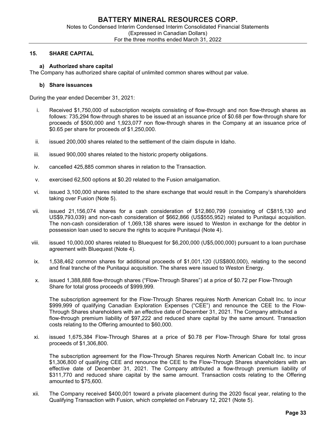#### 15. SHARE CAPITAL

#### a) Authorized share capital

The Company has authorized share capital of unlimited common shares without par value.

#### b) Share issuances

During the year ended December 31, 2021:

- i. Received \$1,750,000 of subscription receipts consisting of flow-through and non flow-through shares as follows: 735,294 flow-through shares to be issued at an issuance price of \$0.68 per flow-through share for proceeds of \$500,000 and 1,923,077 non flow-through shares in the Company at an issuance price of \$0.65 per share for proceeds of \$1,250,000.
- ii. issued 200,000 shares related to the settlement of the claim dispute in Idaho.
- iii. issued 900,000 shares related to the historic property obligations.
- iv. cancelled 425,885 common shares in relation to the Transaction.
- v. exercised 62,500 options at \$0.20 related to the Fusion amalgamation.
- vi. issued 3,100,000 shares related to the share exchange that would result in the Company's shareholders taking over Fusion (Note 5).
- vii. issued 21,156,074 shares for a cash consideration of \$12,860,799 (consisting of C\$815,130 and US\$9,793,039) and non-cash consideration of \$662,866 (US\$555,952) related to Punitaqui acquisition. The non-cash consideration of 1,069,138 shares were issued to Weston in exchange for the debtor in possession loan used to secure the rights to acquire Punitaqui (Note 4).
- viii. issued 10,000,000 shares related to Bluequest for \$6,200,000 (U\$5,000,000) pursuant to a loan purchase agreement with Bluequest (Note 4).
- ix. 1,538,462 common shares for additional proceeds of \$1,001,120 (US\$800,000), relating to the second and final tranche of the Punitaqui acquisition. The shares were issued to Weston Energy.
- x. issued 1,388,888 flow-through shares ("Flow-Through Shares") at a price of \$0.72 per Flow-Through Share for total gross proceeds of \$999,999.

The subscription agreement for the Flow-Through Shares requires North American Cobalt Inc. to incur \$999,999 of qualifying Canadian Exploration Expenses ("CEE") and renounce the CEE to the Flow-Through Shares shareholders with an effective date of December 31, 2021. The Company attributed a flow-through premium liability of \$97,222 and reduced share capital by the same amount. Transaction costs relating to the Offering amounted to \$60,000.

xi. issued 1,675,384 Flow-Through Shares at a price of \$0.78 per Flow-Through Share for total gross proceeds of \$1,306,800.

The subscription agreement for the Flow-Through Shares requires North American Cobalt Inc. to incur \$1,306,800 of qualifying CEE and renounce the CEE to the Flow-Through Shares shareholders with an effective date of December 31, 2021. The Company attributed a flow-through premium liability of \$311,770 and reduced share capital by the same amount. Transaction costs relating to the Offering amounted to \$75,600.

xii. The Company received \$400,001 toward a private placement during the 2020 fiscal year, relating to the Qualifying Transaction with Fusion, which completed on February 12, 2021 (Note 5).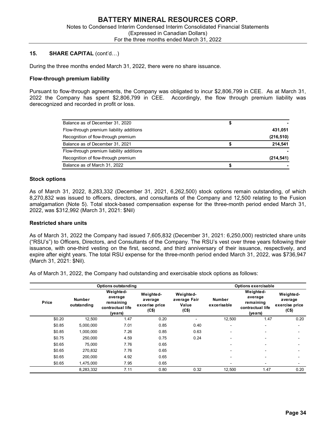#### 15. SHARE CAPITAL (cont'd…)

During the three months ended March 31, 2022, there were no share issuance.

#### Flow-through premium liability

Pursuant to flow-through agreements, the Company was obligated to incur \$2,806,799 in CEE. As at March 31, 2022 the Company has spent \$2,806,799 in CEE. Accordingly, the flow through premium liability was derecognized and recorded in profit or loss.

| Balance as of December 31, 2020          |            |
|------------------------------------------|------------|
| Flow-through premium liability additions | 431,051    |
| Recognition of flow-through premium      | (216, 510) |
| Balance as of December 31, 2021          | 214,541    |
| Flow-through premium liability additions |            |
| Recognition of flow-through premium      | (214, 541) |
| Balance as of March 31, 2022             |            |

#### Stock options

#### Restricted share units

|                                    |                              | Balance as of December 31, 2021                                  |                                                                                                                                                                                                                                                                                                                                        |                                             | \$                    |                                                                  | 214,541                                         |
|------------------------------------|------------------------------|------------------------------------------------------------------|----------------------------------------------------------------------------------------------------------------------------------------------------------------------------------------------------------------------------------------------------------------------------------------------------------------------------------------|---------------------------------------------|-----------------------|------------------------------------------------------------------|-------------------------------------------------|
|                                    |                              | Flow-through premium liability additions                         |                                                                                                                                                                                                                                                                                                                                        |                                             |                       |                                                                  |                                                 |
|                                    |                              | Recognition of flow-through premium                              |                                                                                                                                                                                                                                                                                                                                        |                                             |                       |                                                                  | (214, 541)                                      |
|                                    | Balance as of March 31, 2022 |                                                                  |                                                                                                                                                                                                                                                                                                                                        |                                             | \$                    |                                                                  |                                                 |
| <b>Stock options</b>               |                              |                                                                  |                                                                                                                                                                                                                                                                                                                                        |                                             |                       |                                                                  |                                                 |
|                                    |                              | 2022, was \$312,992 (March 31, 2021: \$Nil)                      | As of March 31, 2022, 8,283,332 (December 31, 2021, 6,262,500) stock options remain outstanding, of which<br>8,270,832 was issued to officers, directors, and consultants of the Company and 12,500 relating to the Fusion<br>amalgamation (Note 5). Total stock-based compensation expense for the three-month period ended March 31, |                                             |                       |                                                                  |                                                 |
| <b>Restricted share units</b>      |                              |                                                                  |                                                                                                                                                                                                                                                                                                                                        |                                             |                       |                                                                  |                                                 |
|                                    |                              |                                                                  | ("RSU's") to Officers, Directors, and Consultants of the Company. The RSU's vest over three years following their<br>issuance, with one-third vesting on the first, second, and third anniversary of their issuance, respectively, and                                                                                                 |                                             |                       |                                                                  |                                                 |
|                                    |                              |                                                                  | expire after eight years. The total RSU expense for the three-month period ended March 31, 2022, was \$736,947<br>As of March 31, 2022, the Company had outstanding and exercisable stock options as follows:                                                                                                                          |                                             |                       |                                                                  |                                                 |
|                                    |                              | <b>Options outstanding</b>                                       |                                                                                                                                                                                                                                                                                                                                        |                                             |                       | Options exercisable                                              |                                                 |
| Price                              | Number<br>outstanding        | Weighted-<br>average<br>remaining<br>contractual life<br>(years) | Weighted-<br>average<br>excerise price<br>(C\$)                                                                                                                                                                                                                                                                                        | Weighted-<br>average Fair<br>Value<br>(C\$) | Number<br>excerisable | Weighted-<br>average<br>remaining<br>contractual life<br>(years) | Weighted-<br>average<br>exercise price<br>(C\$) |
| \$0.20                             | 12,500                       | 1.47                                                             | 0.20                                                                                                                                                                                                                                                                                                                                   | $\sim$                                      | 12,500                | 1.47                                                             | 0.20                                            |
| \$0.85                             | 5,000,000                    | 7.01                                                             | 0.85                                                                                                                                                                                                                                                                                                                                   | 0.40                                        |                       |                                                                  |                                                 |
| \$0.85                             | 1,000,000                    | 7.26                                                             | 0.85                                                                                                                                                                                                                                                                                                                                   | 0.63                                        |                       |                                                                  |                                                 |
| \$0.75                             | 250,000                      | 4.59                                                             | 0.75                                                                                                                                                                                                                                                                                                                                   | 0.24                                        |                       |                                                                  |                                                 |
| \$0.65                             | 75,000                       | 7.76                                                             | 0.65                                                                                                                                                                                                                                                                                                                                   |                                             |                       |                                                                  |                                                 |
| (March 31, 2021: \$Nil).<br>\$0.65 | 270,832                      | 7.76                                                             | 0.65                                                                                                                                                                                                                                                                                                                                   |                                             |                       |                                                                  |                                                 |
| \$0.65<br>\$0.65                   | 200,000<br>1,475,000         | 4.92<br>7.95                                                     | 0.65<br>0.65                                                                                                                                                                                                                                                                                                                           |                                             |                       | $\sim$                                                           | $\sim$                                          |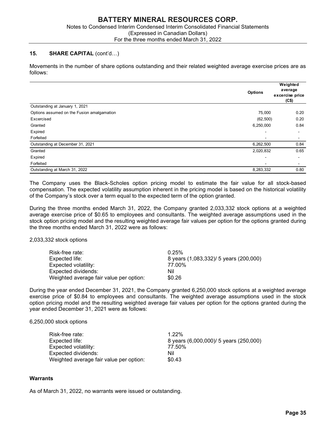#### 15. SHARE CAPITAL (cont'd…)

| <b>BATTERY MINERAL RESOURCES CORP.</b><br>Notes to Condensed Interim Condensed Interim Consolidated Financial Statements<br>(Expressed in Canadian Dollars)<br>For the three months ended March 31, 2022 |                |                          |
|----------------------------------------------------------------------------------------------------------------------------------------------------------------------------------------------------------|----------------|--------------------------|
| <b>SHARE CAPITAL (cont'd)</b><br>15.                                                                                                                                                                     |                |                          |
| Movements in the number of share options outstanding and their related weighted average exercise prices are as<br>follows:                                                                               |                | Weighted<br>average      |
|                                                                                                                                                                                                          | <b>Options</b> |                          |
|                                                                                                                                                                                                          |                | excercise price<br>(C\$) |
| Outstanding at January 1, 2021                                                                                                                                                                           |                |                          |
| Options assumed on the Fusion amalgamation                                                                                                                                                               | 75,000         | 0.20                     |
| Excercised                                                                                                                                                                                               | (62, 500)      | 0.20                     |
| Granted                                                                                                                                                                                                  | 6,250,000      | 0.84                     |
| Expired                                                                                                                                                                                                  |                |                          |
| Forfeited                                                                                                                                                                                                |                | $\overline{\phantom{a}}$ |
| Outstanding at December 31, 2021                                                                                                                                                                         | 6,262,500      | 0.84                     |
| Granted                                                                                                                                                                                                  | 2,020,832      | 0.65                     |
| Expired                                                                                                                                                                                                  |                | $\overline{\phantom{a}}$ |
| Forfeited<br>Outstanding at March 31, 2022                                                                                                                                                               | 8,283,332      |                          |

During the three months ended March 31, 2022, the Company granted 2,033,332 stock options at a weighted average exercise price of \$0.65 to employees and consultants. The weighted average assumptions used in the stock option pricing model and the resulting weighted average fair values per option for the options granted during the three months ended March 31, 2022 were as follows:

2,033,332 stock options

| Risk-free rate:                         | 0.25%                                  |
|-----------------------------------------|----------------------------------------|
| Expected life: l                        | 8 years (1,083,332)/ 5 years (200,000) |
| Expected volatility:                    | 77.00%                                 |
| Expected dividends:                     | Nil                                    |
| Weighted average fair value per option: | \$0.26                                 |

During the year ended December 31, 2021, the Company granted 6,250,000 stock options at a weighted average exercise price of \$0.84 to employees and consultants. The weighted average assumptions used in the stock option pricing model and the resulting weighted average fair values per option for the options granted during the year ended December 31, 2021 were as follows:

#### 6,250,000 stock options

| Risk-free rate:                         | $1.22\%$                               |
|-----------------------------------------|----------------------------------------|
| Expected life:                          | 8 years (6,000,000)/ 5 years (250,000) |
| Expected volatility:                    | 77.50%                                 |
| Expected dividends:                     | Nil                                    |
| Weighted average fair value per option: | \$0.43                                 |

#### **Warrants**

As of March 31, 2022, no warrants were issued or outstanding.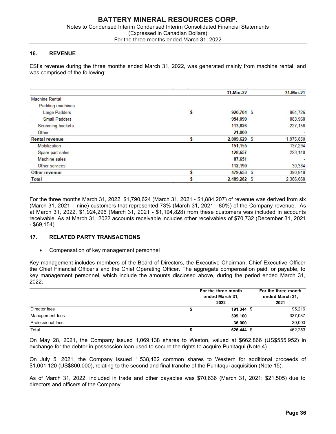### 16. REVENUE

ESI's revenue during the three months ended March 31, 2022, was generated mainly from machine rental, and was comprised of the following:

|                       | 31-Mar-22        | 31-Mar-21 |
|-----------------------|------------------|-----------|
| <b>Machine Rental</b> |                  |           |
| Padding machines      |                  |           |
| Large Padders         | \$<br>920,704 \$ | 864,726   |
| <b>Small Padders</b>  | 954,099          | 883,968   |
| Screening buckets     | 113,826          | 227,156   |
| Other                 | 21,000           |           |
| <b>Rental revenue</b> | 2,009,629 \$     | 1,975,850 |
| Mobilization          | 151,155          | 137,294   |
| Spare part sales      | 128,657          | 223,140   |
| Machine sales         | 87,651           |           |
| Other services        | 112,190          | 30,384    |
| <b>Other revenue</b>  | 479,653 \$       | 390,818   |
| Total                 | 2,489,282 \$     | 2.366.668 |

#### 17. RELATED PARTY TRANSACTIONS

#### Compensation of key management personnel

| <b>Machine</b> sales                                                                                            | 10, 10              |                     |
|-----------------------------------------------------------------------------------------------------------------|---------------------|---------------------|
| Other services                                                                                                  | 112,190             | 30,384              |
| Other revenue                                                                                                   | \$<br>479,653 \$    | 390,818             |
| Total                                                                                                           | \$<br>2,489,282 \$  | 2.366.668           |
|                                                                                                                 |                     |                     |
|                                                                                                                 |                     |                     |
| For the three months March 31, 2022, \$1,790,624 (March 31, 2021 - \$1,884,207) of revenue was derived from six |                     |                     |
| (March 31, 2021 – nine) customers that represented 73% (March 31, 2021 - 80%) of the Company revenue. As        |                     |                     |
| at March 31, 2022, \$1,924,296 (March 31, 2021 - \$1,194,828) from these customers was included in accounts     |                     |                     |
| receivable. As at March 31, 2022 accounts receivable includes other receivables of \$70,732 (December 31, 2021  |                     |                     |
| - \$69,154).                                                                                                    |                     |                     |
|                                                                                                                 |                     |                     |
| 17.<br><b>RELATED PARTY TRANSACTIONS</b>                                                                        |                     |                     |
|                                                                                                                 |                     |                     |
| Compensation of key management personnel                                                                        |                     |                     |
|                                                                                                                 |                     |                     |
| Key management includes members of the Board of Directors, the Executive Chairman, Chief Executive Officer      |                     |                     |
| the Chief Financial Officer's and the Chief Operating Officer. The aggregate compensation paid, or payable, to  |                     |                     |
| key management personnel, which include the amounts disclosed above, during the period ended March 31,          |                     |                     |
| 2022:                                                                                                           |                     |                     |
|                                                                                                                 |                     |                     |
|                                                                                                                 | For the three month | For the three month |
|                                                                                                                 | ended March 31,     | ended March 31,     |
|                                                                                                                 | 2022                | 2021                |
| Director fees                                                                                                   | \$<br>191,344 \$    | 95,216              |
| Management fees                                                                                                 | 399,100             | 337,037             |
| Professional fees                                                                                               | 36.000              | 30,000              |
| Total                                                                                                           | 626,444 \$          | 462,253             |
|                                                                                                                 |                     |                     |
|                                                                                                                 | \$                  |                     |
| On May 28, 2021, the Company issued 1,069,138 shares to Weston, valued at \$662,866 (US\$555,952) in            |                     |                     |
| exchange for the debtor in possession loan used to secure the rights to acquire Punitaqui (Note 4).             |                     |                     |
|                                                                                                                 |                     |                     |
| On July 5, 2021, the Company issued 1,538,462 common shares to Western for additional proceeds of               |                     |                     |

On July 5, 2021, the Company issued 1,538,462 common shares to Western for additional proceeds of \$1,001,120 (US\$800,000), relating to the second and final tranche of the Punitaqui acquisition (Note 15).

As of March 31, 2022, included in trade and other payables was \$70,636 (March 31, 2021: \$21,505) due to directors and officers of the Company.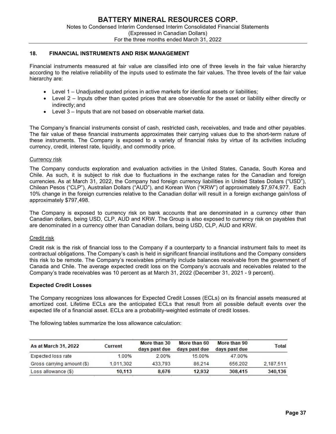#### 18. FINANCIAL INSTRUMENTS AND RISK MANAGEMENT

Financial instruments measured at fair value are classified into one of three levels in the fair value hierarchy according to the relative reliability of the inputs used to estimate the fair values. The three levels of the fair value hierarchy are:

- Level 1 Unadjusted quoted prices in active markets for identical assets or liabilities;
- Level 2 Inputs other than quoted prices that are observable for the asset or liability either directly or indirectly; and
- Level 3 Inputs that are not based on observable market data.

The Company's financial instruments consist of cash, restricted cash, receivables, and trade and other payables. The fair value of these financial instruments approximates their carrying values due to the short-term nature of these instruments. The Company is exposed to a variety of financial risks by virtue of its activities including currency, credit, interest rate, liquidity, and commodity price.

#### Currency risk

The Company conducts exploration and evaluation activities in the United States, Canada, South Korea and Chile. As such, it is subject to risk due to fluctuations in the exchange rates for the Canadian and foreign currencies. As at March 31, 2022, the Company had foreign currency liabilities in United States Dollars ("USD"), Chilean Pesos ("CLP"), Australian Dollars ("AUD"), and Korean Won ("KRW") of approximately \$7,974,977. Each 10% change in the foreign currencies relative to the Canadian dollar will result in a foreign exchange gain/loss of approximately \$797,498.

The Company is exposed to currency risk on bank accounts that are denominated in a currency other than Canadian dollars, being USD, CLP, AUD and KRW. The Group is also exposed to currency risk on payables that are denominated in a currency other than Canadian dollars, being USD, CLP, AUD and KRW.

#### Credit risk

Credit risk is the risk of financial loss to the Company if a counterparty to a financial instrument fails to meet its contractual obligations. The Company's cash is held in significant financial institutions and the Company considers this risk to be remote. The Company's receivables primarily include balances receivable from the government of Canada and Chile. The average expected credit loss on the Company's accruals and receivables related to the Company's trade receivables was 10 percent as at March 31, 2022 (December 31, 2021 - 9 percent).

#### Expected Credit Losses

The Company recognizes loss allowances for Expected Credit Losses (ECLs) on its financial assets measured at amortized cost. Lifetime ECLs are the anticipated ECLs that result from all possible default events over the expected life of a financial asset. ECLs are a probability-weighted estimate of credit losses.

The following tables summarize the loss allowance calculation:

| As at March 31, 2022       | <b>Current</b> | More than 30<br>days past due | More than 60<br>days past due | More than 90<br>days past due | Total     |
|----------------------------|----------------|-------------------------------|-------------------------------|-------------------------------|-----------|
| Expected loss rate         | 1.00%          | 2.00%                         | 15.00%                        | 47.00%                        |           |
| Gross carrying amount (\$) | 1.011.302      | 433,793                       | 86.214                        | 656,202                       | 2.187.511 |
| Loss allowance (\$)        | 10.113         | 8.676                         | 12.932                        | 308,415                       | 340,136   |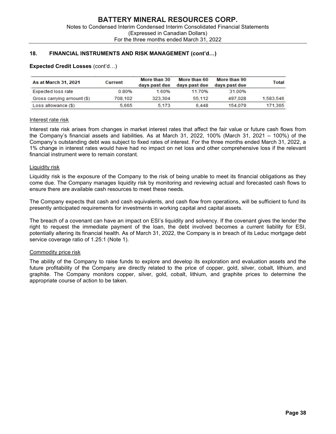# 18. FINANCIAL INSTRUMENTS AND RISK MANAGEMENT (cont'd…)

| As at March 31, 2021       | <b>Current</b> | More than 30<br>days past due | More than 60<br>days past due | More than 90<br>days past due | Total     |
|----------------------------|----------------|-------------------------------|-------------------------------|-------------------------------|-----------|
| Expected loss rate         | 0.80%          | 1.60%                         | 11.70%                        | 31.00%                        |           |
| Gross carrying amount (\$) | 708.102        | 323,304                       | 55.112                        | 497.028                       | 1,583,546 |
| Loss allowance (\$)        | 5.665          | 5.173                         | 6.448                         | 154.079                       | 171.365   |

#### Expected Credit Losses (cont'd…)

#### Interest rate risk

Interest rate risk arises from changes in market interest rates that affect the fair value or future cash flows from the Company's financial assets and liabilities. As at March 31, 2022, 100% (March 31, 2021 – 100%) of the Company's outstanding debt was subject to fixed rates of interest. For the three months ended March 31, 2022, a 1% change in interest rates would have had no impact on net loss and other comprehensive loss if the relevant financial instrument were to remain constant.

#### Liquidity risk

Liquidity risk is the exposure of the Company to the risk of being unable to meet its financial obligations as they come due. The Company manages liquidity risk by monitoring and reviewing actual and forecasted cash flows to ensure there are available cash resources to meet these needs.

The Company expects that cash and cash equivalents, and cash flow from operations, will be sufficient to fund its presently anticipated requirements for investments in working capital and capital assets.

The breach of a covenant can have an impact on ESI's liquidity and solvency. If the covenant gives the lender the right to request the immediate payment of the loan, the debt involved becomes a current liability for ESI, potentially altering its financial health. As of March 31, 2022, the Company is in breach of its Leduc mortgage debt service coverage ratio of 1.25:1 (Note 1).

#### Commodity price risk

The ability of the Company to raise funds to explore and develop its exploration and evaluation assets and the future profitability of the Company are directly related to the price of copper, gold, silver, cobalt, lithium, and graphite. The Company monitors copper, silver, gold, cobalt, lithium, and graphite prices to determine the appropriate course of action to be taken.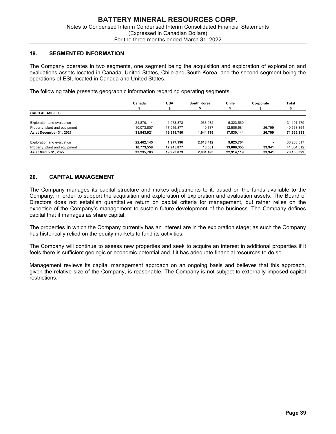#### 19. SEGMENTED INFORMATION

|                                                                                                              | <b>BATTERY MINERAL RESOURCES CORP.</b><br>Notes to Condensed Interim Condensed Interim Consolidated Financial Statements |                          |                     |                          |                  |                          |
|--------------------------------------------------------------------------------------------------------------|--------------------------------------------------------------------------------------------------------------------------|--------------------------|---------------------|--------------------------|------------------|--------------------------|
|                                                                                                              | (Expressed in Canadian Dollars)                                                                                          |                          |                     |                          |                  |                          |
|                                                                                                              | For the three months ended March 31, 2022                                                                                |                          |                     |                          |                  |                          |
|                                                                                                              |                                                                                                                          |                          |                     |                          |                  |                          |
| 19.<br><b>SEGMENTED INFORMATION</b>                                                                          |                                                                                                                          |                          |                     |                          |                  |                          |
|                                                                                                              |                                                                                                                          |                          |                     |                          |                  |                          |
|                                                                                                              |                                                                                                                          |                          |                     |                          |                  |                          |
|                                                                                                              |                                                                                                                          |                          |                     |                          |                  |                          |
| The Company operates in two segments, one segment being the acquisition and exploration of exploration and   |                                                                                                                          |                          |                     |                          |                  |                          |
| evaluations assets located in Canada, United States, Chile and South Korea, and the second segment being the |                                                                                                                          |                          |                     |                          |                  |                          |
| operations of ESI, located in Canada and United States.                                                      |                                                                                                                          |                          |                     |                          |                  |                          |
|                                                                                                              |                                                                                                                          |                          |                     |                          |                  |                          |
| The following table presents geographic information regarding operating segments.                            |                                                                                                                          |                          |                     |                          |                  |                          |
|                                                                                                              |                                                                                                                          |                          |                     |                          |                  |                          |
|                                                                                                              | Canada                                                                                                                   | <b>USA</b>               | South Korea         | Chile                    | Corporate        | Total                    |
|                                                                                                              | S.                                                                                                                       | s.                       | s.                  | \$                       | \$               | \$                       |
| <b>CAPITAL ASSETS</b>                                                                                        |                                                                                                                          |                          |                     |                          |                  |                          |
| Exploration and evaluation                                                                                   | 21,870,114                                                                                                               | 1,973,873                | 1,933,932           | 5,323,560                |                  | 31,101,479               |
| Property, plant and equipment                                                                                | 10,073,807                                                                                                               | 17,945,877               | 10,787              | 12,506,584               | 26,799           | 40,563,854               |
| As at December 31, 2021                                                                                      | 31,943,921                                                                                                               | 19,919,750               | 1,944,719           | 17,830,144               | 26,799           | 71,665,333               |
|                                                                                                              |                                                                                                                          |                          |                     |                          |                  |                          |
| Exploration and evaluation                                                                                   | 22,462,145                                                                                                               | 1,977,196                | 2,018,412           | 9,825,764                |                  | 36,283,517               |
| Property, plant and equipment<br>As at March 31, 2022                                                        | 10,773,558<br>33,235,703                                                                                                 | 17,945,877<br>19,923,073 | 13,081<br>2,031,493 | 13,088,355<br>22,914,119 | 33,941<br>33,941 | 41,854,812<br>78,138,329 |

# 20. CAPITAL MANAGEMENT

The Company manages its capital structure and makes adjustments to it, based on the funds available to the Company, in order to support the acquisition and exploration of exploration and evaluation assets. The Board of Directors does not establish quantitative return on capital criteria for management, but rather relies on the expertise of the Company's management to sustain future development of the business. The Company defines capital that it manages as share capital.

The properties in which the Company currently has an interest are in the exploration stage; as such the Company has historically relied on the equity markets to fund its activities.

The Company will continue to assess new properties and seek to acquire an interest in additional properties if it feels there is sufficient geologic or economic potential and if it has adequate financial resources to do so.

Management reviews its capital management approach on an ongoing basis and believes that this approach, given the relative size of the Company, is reasonable. The Company is not subject to externally imposed capital restrictions.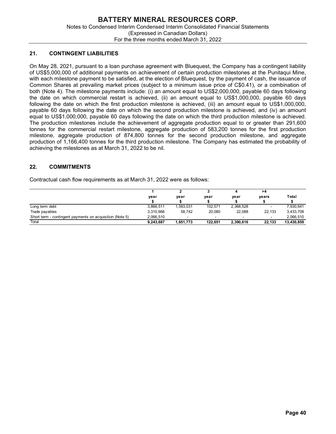# 21. CONTINGENT LIABILITIES

On May 28, 2021, pursuant to a loan purchase agreement with Bluequest, the Company has a contingent liability of US\$5,000,000 of additional payments on achievement of certain production milestones at the Punitaqui Mine, with each milestone payment to be satisfied, at the election of Bluequest, by the payment of cash, the issuance of Common Shares at prevailing market prices (subject to a minimum issue price of C\$0.41), or a combination of both (Note 4). The milestone payments include: (i) an amount equal to US\$2,000,000, payable 60 days following the date on which commercial restart is achieved, (ii) an amount equal to US\$1,000,000, payable 60 days following the date on which the first production milestone is achieved, (iii) an amount equal to US\$1,000,000, payable 60 days following the date on which the second production milestone is achieved, and (iv) an amount equal to US\$1,000,000, payable 60 days following the date on which the third production milestone is achieved. The production milestones include the achievement of aggregate production equal to or greater than 291,600 tonnes for the commercial restart milestone, aggregate production of 583,200 tonnes for the first production milestone, aggregate production of 874,800 tonnes for the second production milestone, and aggregate production of 1,166,400 tonnes for the third production milestone. The Company has estimated the probability of achieving the milestones as at March 31, 2022 to be nil. From twith Bluequest, the Company has a contingent liability<br>
sement of certain production milestones at the Punitaqui Mine,<br>
election of Bluequest, by the payment of cash, the issuance of<br>
lect to a minimum issue price o greement with Bluequest, the Company has a contingent liability<br>evernent of certain production milestones at the Punitaqui Mine,<br>e election of Bluequest, by the payment of cash, the issuance of<br>biject to a minimum issue p From twith Bluequest, the Company has a contingent liability<br>vement of certain production milestones at the Punitaqui Mine,<br>election of Bluequest, by the payment of cash, the issuance of<br>ject to a minimum issue price of C On May 28, 2021, pursuant to a loan purchase agreement with Bluequest, the Company has a contingent liability<br>of US\$5,000,000 of additional payments on achievement of certain production milestones at the Punitaqui Mine,<br>o

# 22. COMMITMENTS

Contractual cash flow requirements as at March 31, 2022 were as follows:

|                                                          |           |                          |         |                          | >4     |            |
|----------------------------------------------------------|-----------|--------------------------|---------|--------------------------|--------|------------|
|                                                          | year      | year                     | year    | vear                     | vears  | Total      |
|                                                          |           |                          |         |                          |        |            |
| Long term debt                                           | 3.866.511 | ,593,031                 | 102.571 | 2.368.528                |        | 7.930.641  |
| Trade payables                                           | 3.310.666 | 58.742                   | 20.080  | 22.088                   | 22.133 | 3,433,708  |
| Short term - contingent payments on acquisition (Note 5) | 2.066.510 | $\overline{\phantom{0}}$ | $\sim$  | $\overline{\phantom{a}}$ | $\sim$ | 2.066.510  |
| Total                                                    | 9.243.687 | 1,651,773                | 122.651 | 2,390,616                | 22,133 | 13,430,859 |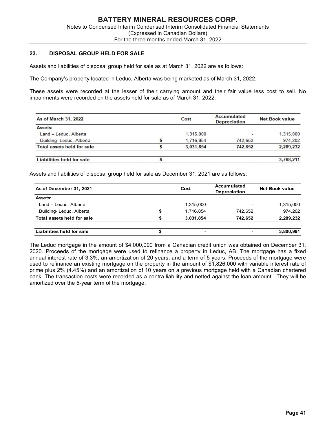# 23. DISPOSAL GROUP HELD FOR SALE

| <b>DISPOSAL GROUP HELD FOR SALE</b><br>3.                                                                                                                                                 |                 |                                           |                       |
|-------------------------------------------------------------------------------------------------------------------------------------------------------------------------------------------|-----------------|-------------------------------------------|-----------------------|
| ssets and liabilities of disposal group held for sale as at March 31, 2022 are as follows:                                                                                                |                 |                                           |                       |
| he Company's property located in Leduc, Alberta was being marketed as of March 31, 2022.                                                                                                  |                 |                                           |                       |
| hese assets were recorded at the lesser of their carrying amount and their fair value less cost to sell. No<br>npairments were recorded on the assets held for sale as of March 31, 2022. |                 |                                           |                       |
| As of March 31, 2022                                                                                                                                                                      | Cost            | <b>Accumulated</b><br><b>Depreciation</b> | <b>Net Book value</b> |
| Assets:                                                                                                                                                                                   |                 |                                           |                       |
| Land - Leduc, Alberta                                                                                                                                                                     | 1,315,000       |                                           | 1,315,000             |
| Building-Leduc, Alberta                                                                                                                                                                   | 1,716,854       | 742,652                                   | 974,202               |
| <b>Total assets held for sale</b>                                                                                                                                                         | \$<br>3,031,854 | 742,652                                   | 2,289,232             |
| <b>Liabilities held for sale</b>                                                                                                                                                          | \$              |                                           | 3,768,211             |
| ssets and liabilities of disposal group held for sale as December 31, 2021 are as follows:<br>As of December 31, 2021                                                                     | Cost            | Accumulated<br>Depreciation               | <b>Net Book value</b> |
| Assets:                                                                                                                                                                                   |                 |                                           |                       |
| Land - Leduc, Alberta                                                                                                                                                                     | 1,315,000       |                                           | 1,315,000             |
| Building-Leduc, Alberta                                                                                                                                                                   | \$<br>1,716,854 | 742,652                                   | 974,202               |
|                                                                                                                                                                                           |                 |                                           |                       |

| As of March 31, 2022                                                                                                  |          | Cost                   | <b>Accumulated</b><br><b>Depreciation</b> | <b>Net Book value</b> |
|-----------------------------------------------------------------------------------------------------------------------|----------|------------------------|-------------------------------------------|-----------------------|
| Assets:                                                                                                               |          |                        |                                           |                       |
| Land - Leduc, Alberta                                                                                                 |          | 1,315,000              |                                           | 1,315,000             |
| Building-Leduc, Alberta                                                                                               | \$       | 1,716,854              | 742,652                                   | 974,202               |
| <b>Total assets held for sale</b>                                                                                     | \$       | 3,031,854              | 742,652                                   | 2,289,232             |
| <b>Liabilities held for sale</b>                                                                                      | \$       |                        |                                           | 3,768,211             |
|                                                                                                                       |          |                        |                                           |                       |
| ssets and liabilities of disposal group held for sale as December 31, 2021 are as follows:<br>As of December 31, 2021 |          | Cost                   | <b>Accumulated</b><br>Depreciation        | <b>Net Book value</b> |
| Assets:                                                                                                               |          |                        |                                           |                       |
| Land - Leduc, Alberta                                                                                                 |          | 1,315,000              |                                           | 1,315,000             |
| Building-Leduc, Alberta<br>Total assets held for sale                                                                 | \$<br>\$ | 1,716,854<br>3,031,854 | 742,652<br>742,652                        | 974,202<br>2,289,232  |

The Leduc mortgage in the amount of \$4,000,000 from a Canadian credit union was obtained on December 31, 2020. Proceeds of the mortgage were used to refinance a property in Leduc, AB. The mortgage has a fixed annual interest rate of 3.3%, an amortization of 20 years, and a term of 5 years. Proceeds of the mortgage were used to refinance an existing mortgage on the property in the amount of \$1,826,000 with variable interest rate of prime plus 2% (4.45%) and an amortization of 10 years on a previous mortgage held with a Canadian chartered bank. The transaction costs were recorded as a contra liability and netted against the loan amount. They will be amortized over the 5-year term of the mortgage.